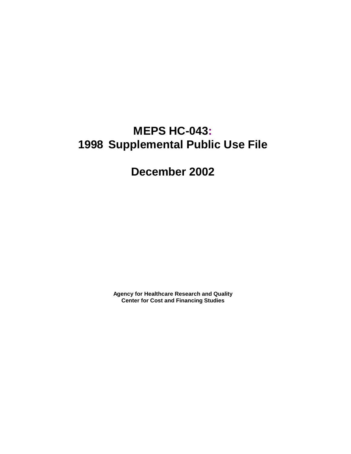# **MEPS HC-043: 1998 Supplemental Public Use File**

## **December 2002**

**Agency for Healthcare Research and Quality Center for Cost and Financing Studies**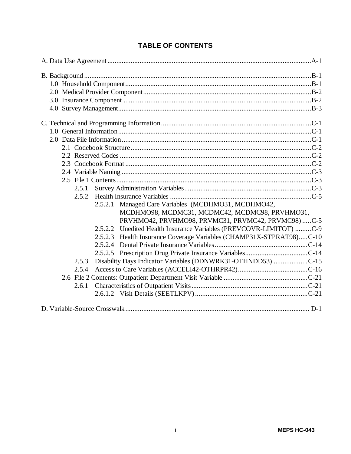| 2.5.1                                                                 |  |
|-----------------------------------------------------------------------|--|
| 2.5.2                                                                 |  |
| 2.5.2.1 Managed Care Variables (MCDHMO31, MCDHMO42,                   |  |
| MCDHMO98, MCDMC31, MCDMC42, MCDMC98, PRVHMO31,                        |  |
| PRVHMO42, PRVHMO98, PRVMC31, PRVMC42, PRVMC98)  C-5                   |  |
| 2.5.2.2 Unedited Health Insurance Variables (PREVCOVR-LIMITOT) C-9    |  |
| 2.5.2.3 Health Insurance Coverage Variables (CHAMP31X-STPRAT98)C-10   |  |
|                                                                       |  |
|                                                                       |  |
| Disability Days Indicator Variables (DDNWRK31-OTHNDD53) C-15<br>2.5.3 |  |
| 2.5.4                                                                 |  |
|                                                                       |  |
| 2.6.1                                                                 |  |
|                                                                       |  |
|                                                                       |  |

## **TABLE OF CONTENTS**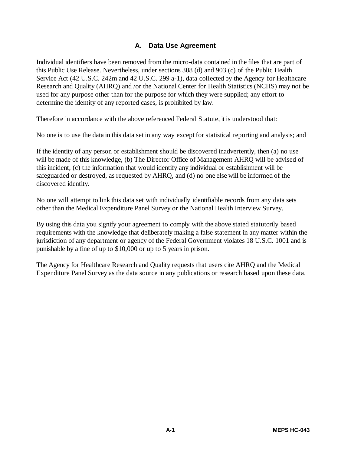#### **A. Data Use Agreement**

Individual identifiers have been removed from the micro-data contained in the files that are part of this Public Use Release. Nevertheless, under sections 308 (d) and 903 (c) of the Public Health Service Act (42 U.S.C. 242m and 42 U.S.C. 299 a-1), data collected by the Agency for Healthcare Research and Quality (AHRQ) and /or the National Center for Health Statistics (NCHS) may not be used for any purpose other than for the purpose for which they were supplied; any effort to determine the identity of any reported cases, is prohibited by law.

Therefore in accordance with the above referenced Federal Statute, it is understood that:

No one is to use the data in this data set in any way except for statistical reporting and analysis; and

If the identity of any person or establishment should be discovered inadvertently, then (a) no use will be made of this knowledge, (b) The Director Office of Management AHRQ will be advised of this incident, (c) the information that would identify any individual or establishment will be safeguarded or destroyed, as requested by AHRQ, and (d) no one else will be informed of the discovered identity.

No one will attempt to link this data set with individually identifiable records from any data sets other than the Medical Expenditure Panel Survey or the National Health Interview Survey.

By using this data you signify your agreement to comply with the above stated statutorily based requirements with the knowledge that deliberately making a false statement in any matter within the jurisdiction of any department or agency of the Federal Government violates 18 U.S.C. 1001 and is punishable by a fine of up to \$10,000 or up to 5 years in prison.

The Agency for Healthcare Research and Quality requests that users cite AHRQ and the Medical Expenditure Panel Survey as the data source in any publications or research based upon these data.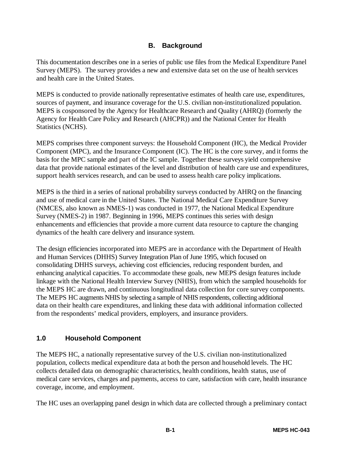#### **B. Background**

This documentation describes one in a series of public use files from the Medical Expenditure Panel Survey (MEPS). The survey provides a new and extensive data set on the use of health services and health care in the United States.

MEPS is conducted to provide nationally representative estimates of health care use, expenditures, sources of payment, and insurance coverage for the U.S. civilian non-institutionalized population. MEPS is cosponsored by the Agency for Healthcare Research and Quality (AHRQ) (formerly the Agency for Health Care Policy and Research (AHCPR)) and the National Center for Health Statistics (NCHS).

MEPS comprises three component surveys: the Household Component (HC), the Medical Provider Component (MPC), and the Insurance Component (IC). The HC is the core survey, and it forms the basis for the MPC sample and part of the IC sample. Together these surveys yield comprehensive data that provide national estimates of the level and distribution of health care use and expenditures, support health services research, and can be used to assess health care policy implications.

MEPS is the third in a series of national probability surveys conducted by AHRQ on the financing and use of medical care in the United States. The National Medical Care Expenditure Survey (NMCES, also known as NMES-1) was conducted in 1977, the National Medical Expenditure Survey (NMES-2) in 1987. Beginning in 1996, MEPS continues this series with design enhancements and efficiencies that provide a more current data resource to capture the changing dynamics of the health care delivery and insurance system.

The design efficiencies incorporated into MEPS are in accordance with the Department of Health and Human Services (DHHS) Survey Integration Plan of June 1995, which focused on consolidating DHHS surveys, achieving cost efficiencies, reducing respondent burden, and enhancing analytical capacities. To accommodate these goals, new MEPS design features include linkage with the National Health Interview Survey (NHIS), from which the sampled households for the MEPS HC are drawn, and continuous longitudinal data collection for core survey components. The MEPS HC augments NHIS by selecting a sample of NHIS respondents, collecting additional data on their health care expenditures, and linking these data with additional information collected from the respondents' medical providers, employers, and insurance providers.

#### **1.0 Household Component**

The MEPS HC, a nationally representative survey of the U.S. civilian non-institutionalized population, collects medical expenditure data at both the person and household levels. The HC collects detailed data on demographic characteristics, health conditions, health status, use of medical care services, charges and payments, access to care, satisfaction with care, health insurance coverage, income, and employment.

The HC uses an overlapping panel design in which data are collected through a preliminary contact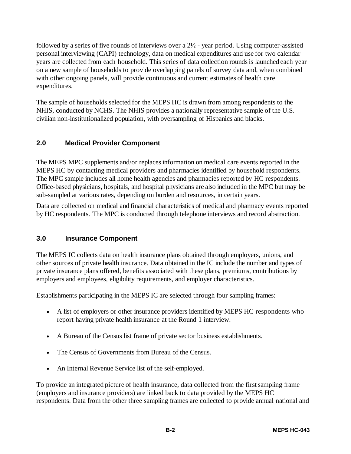followed by a series of five rounds of interviews over a 2½ - year period. Using computer-assisted personal interviewing (CAPI) technology, data on medical expenditures and use for two calendar years are collected from each household. This series of data collection rounds is launched each year on a new sample of households to provide overlapping panels of survey data and, when combined with other ongoing panels, will provide continuous and current estimates of health care expenditures.

The sample of households selected for the MEPS HC is drawn from among respondents to the NHIS, conducted by NCHS. The NHIS provides a nationally representative sample of the U.S. civilian non-institutionalized population, with oversampling of Hispanics and blacks.

#### **2.0 Medical Provider Component**

The MEPS MPC supplements and/or replaces information on medical care events reported in the MEPS HC by contacting medical providers and pharmacies identified by household respondents. The MPC sample includes all home health agencies and pharmacies reported by HC respondents. Office-based physicians, hospitals, and hospital physicians are also included in the MPC but may be sub-sampled at various rates, depending on burden and resources, in certain years.

Data are collected on medical and financial characteristics of medical and pharmacy events reported by HC respondents. The MPC is conducted through telephone interviews and record abstraction.

#### **3.0 Insurance Component**

The MEPS IC collects data on health insurance plans obtained through employers, unions, and other sources of private health insurance. Data obtained in the IC include the number and types of private insurance plans offered, benefits associated with these plans, premiums, contributions by employers and employees, eligibility requirements, and employer characteristics.

Establishments participating in the MEPS IC are selected through four sampling frames:

- A list of employers or other insurance providers identified by MEPS HC respondents who report having private health insurance at the Round 1 interview.
- A Bureau of the Census list frame of private sector business establishments.
- The Census of Governments from Bureau of the Census.
- An Internal Revenue Service list of the self-employed.

To provide an integrated picture of health insurance, data collected from the first sampling frame (employers and insurance providers) are linked back to data provided by the MEPS HC respondents. Data from the other three sampling frames are collected to provide annual national and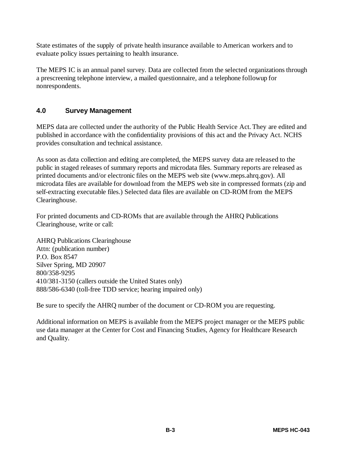State estimates of the supply of private health insurance available to American workers and to evaluate policy issues pertaining to health insurance.

The MEPS IC is an annual panel survey. Data are collected from the selected organizations through a prescreening telephone interview, a mailed questionnaire, and a telephone followup for nonrespondents.

#### **4.0 Survey Management**

MEPS data are collected under the authority of the Public Health Service Act. They are edited and published in accordance with the confidentiality provisions of this act and the Privacy Act. NCHS provides consultation and technical assistance.

As soon as data collection and editing are completed, the MEPS survey data are released to the public in staged releases of summary reports and microdata files. Summary reports are released as printed documents and/or electronic files on the MEPS web site (www.meps.ahrq.gov). All microdata files are available for download from the MEPS web site in compressed formats (zip and self-extracting executable files.) Selected data files are available on CD-ROM from the MEPS Clearinghouse.

For printed documents and CD-ROMs that are available through the AHRQ Publications Clearinghouse, write or call:

AHRQ Publications Clearinghouse Attn: (publication number) P.O. Box 8547 Silver Spring, MD 20907 800/358-9295 410/381-3150 (callers outside the United States only) 888/586-6340 (toll-free TDD service; hearing impaired only)

Be sure to specify the AHRQ number of the document or CD-ROM you are requesting.

Additional information on MEPS is available from the MEPS project manager or the MEPS public use data manager at the Center for Cost and Financing Studies, Agency for Healthcare Research and Quality.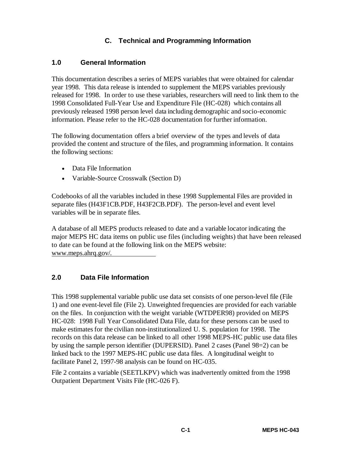#### **C. Technical and Programming Information**

#### **1.0 General Information**

This documentation describes a series of MEPS variables that were obtained for calendar year 1998. This data release is intended to supplement the MEPS variables previously released for 1998. In order to use these variables, researchers will need to link them to the 1998 Consolidated Full-Year Use and Expenditure File (HC-028) which contains all previously released 1998 person level data including demographic and socio-economic information. Please refer to the HC-028 documentation for further information.

The following documentation offers a brief overview of the types and levels of data provided the content and structure of the files, and programming information. It contains the following sections:

- Data File Information
- Variable-Source Crosswalk (Section D)

Codebooks of all the variables included in these 1998 Supplemental Files are provided in separate files (H43F1CB.PDF, H43F2CB.PDF). The person-level and event level variables will be in separate files.

A database of all MEPS products released to date and a variable locator indicating the major MEPS HC data items on public use files (including weights) that have been released to date can be found at the following link on the MEPS website: www.meps.ahrq.gov/.

#### **2.0 Data File Information**

This 1998 supplemental variable public use data set consists of one person-level file (File 1) and one event-level file (File 2). Unweighted frequencies are provided for each variable on the files. In conjunction with the weight variable (WTDPER98) provided on MEPS HC-028: 1998 Full Year Consolidated Data File, data for these persons can be used to make estimates for the civilian non-institutionalized U. S. population for 1998. The records on this data release can be linked to all other 1998 MEPS-HC public use data files by using the sample person identifier (DUPERSID). Panel 2 cases (Panel 98=2) can be linked back to the 1997 MEPS-HC public use data files. A longitudinal weight to facilitate Panel 2, 1997-98 analysis can be found on HC-035.

File 2 contains a variable (SEETLKPV) which was inadvertently omitted from the 1998 Outpatient Department Visits File (HC-026 F).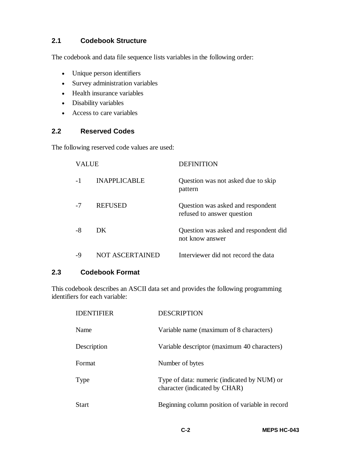#### **2.1 Codebook Structure**

The codebook and data file sequence lists variables in the following order:

- Unique person identifiers
- Survey administration variables
- Health insurance variables
- Disability variables
- Access to care variables

#### **2.2 Reserved Codes**

The following reserved code values are used:

| <b>VALUE</b> |                        | <b>DEFINITION</b>                                               |
|--------------|------------------------|-----------------------------------------------------------------|
|              | <b>INAPPLICABLE</b>    | Question was not asked due to skip<br>pattern                   |
| -7           | <b>REFUSED</b>         | Question was asked and respondent<br>refused to answer question |
| -8           | DK                     | Question was asked and respondent did<br>not know answer        |
| -9           | <b>NOT ASCERTAINED</b> | Interviewer did not record the data                             |

#### **2.3 Codebook Format**

This codebook describes an ASCII data set and provides the following programming identifiers for each variable:

| <b>IDENTIFIER</b> | <b>DESCRIPTION</b>                                                           |
|-------------------|------------------------------------------------------------------------------|
| Name              | Variable name (maximum of 8 characters)                                      |
| Description       | Variable descriptor (maximum 40 characters)                                  |
| Format            | Number of bytes                                                              |
| Type              | Type of data: numeric (indicated by NUM) or<br>character (indicated by CHAR) |
| <b>Start</b>      | Beginning column position of variable in record                              |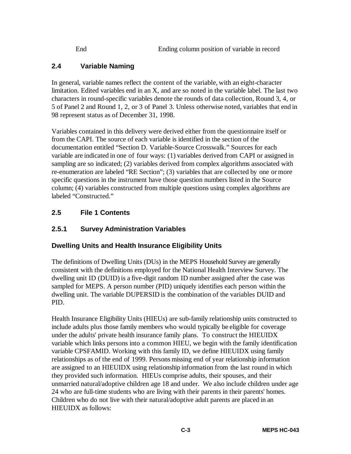## **2.4 Variable Naming**

In general, variable names reflect the content of the variable, with an eight-character limitation. Edited variables end in an X, and are so noted in the variable label. The last two characters in round-specific variables denote the rounds of data collection, Round 3, 4, or 5 of Panel 2 and Round 1, 2, or 3 of Panel 3. Unless otherwise noted, variables that end in 98 represent status as of December 31, 1998.

Variables contained in this delivery were derived either from the questionnaire itself or from the CAPI. The source of each variable is identified in the section of the documentation entitled "Section D. Variable-Source Crosswalk." Sources for each variable are indicated in one of four ways: (1) variables derived from CAPI or assigned in sampling are so indicated; (2) variables derived from complex algorithms associated with re-enumeration are labeled "RE Section"; (3) variables that are collected by one or more specific questions in the instrument have those question numbers listed in the Source column; (4) variables constructed from multiple questions using complex algorithms are labeled "Constructed."

## **2.5 File 1 Contents**

## **2.5.1 Survey Administration Variables**

## **Dwelling Units and Health Insurance Eligibility Units**

The definitions of Dwelling Units (DUs) in the MEPS Household Survey are generally consistent with the definitions employed for the National Health Interview Survey. The dwelling unit ID (DUID) is a five-digit random ID number assigned after the case was sampled for MEPS. A person number (PID) uniquely identifies each person within the dwelling unit. The variable DUPERSID is the combination of the variables DUID and PID.

Health Insurance Eligibility Units (HIEUs) are sub-family relationship units constructed to include adults plus those family members who would typically be eligible for coverage under the adults' private health insurance family plans. To construct the HIEUIDX variable which links persons into a common HIEU, we begin with the family identification variable CPSFAMID. Working with this family ID, we define HIEUIDX using family relationships as of the end of 1999. Persons missing end of year relationship information are assigned to an HIEUIDX using relationship information from the last round in which they provided such information. HIEUs comprise adults, their spouses, and their unmarried natural/adoptive children age 18 and under. We also include children under age 24 who are full-time students who are living with their parents in their parents' homes. Children who do not live with their natural/adoptive adult parents are placed in an HIEUIDX as follows: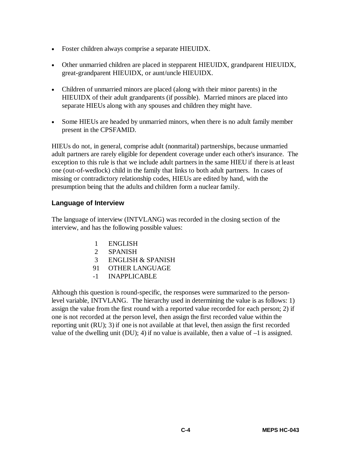- Foster children always comprise a separate HIEUIDX.
- Other unmarried children are placed in stepparent HIEUIDX, grandparent HIEUIDX, great-grandparent HIEUIDX, or aunt/uncle HIEUIDX.
- Children of unmarried minors are placed (along with their minor parents) in the HIEUIDX of their adult grandparents (if possible). Married minors are placed into separate HIEUs along with any spouses and children they might have.
- Some HIEUs are headed by unmarried minors, when there is no adult family member present in the CPSFAMID.

HIEUs do not, in general, comprise adult (nonmarital) partnerships, because unmarried adult partners are rarely eligible for dependent coverage under each other's insurance. The exception to this rule is that we include adult partners in the same HIEU if there is at least one (out-of-wedlock) child in the family that links to both adult partners. In cases of missing or contradictory relationship codes, HIEUs are edited by hand, with the presumption being that the adults and children form a nuclear family.

#### **Language of Interview**

The language of interview (INTVLANG) was recorded in the closing section of the interview, and has the following possible values:

- 1 ENGLISH
- 2 SPANISH
- 3 ENGLISH & SPANISH
- 91 OTHER LANGUAGE
- -1 INAPPLICABLE

Although this question is round-specific, the responses were summarized to the personlevel variable, INTVLANG. The hierarchy used in determining the value is as follows: 1) assign the value from the first round with a reported value recorded for each person; 2) if one is not recorded at the person level, then assign the first recorded value within the reporting unit (RU); 3) if one is not available at that level, then assign the first recorded value of the dwelling unit (DU); 4) if no value is available, then a value of  $-1$  is assigned.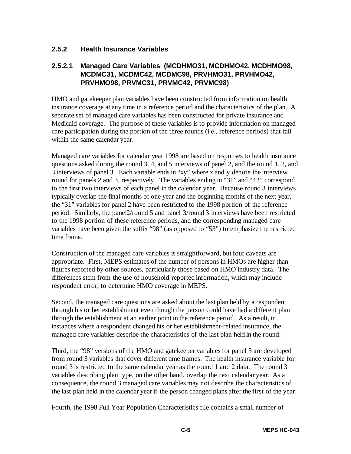#### **2.5.2 Health Insurance Variables**

#### **2.5.2.1 Managed Care Variables (MCDHMO31, MCDHMO42, MCDHMO98, MCDMC31, MCDMC42, MCDMC98, PRVHMO31, PRVHMO42, PRVHMO98, PRVMC31, PRVMC42, PRVMC98)**

HMO and gatekeeper plan variables have been constructed from information on health insurance coverage at any time in a reference period and the characteristics of the plan. A separate set of managed care variables has been constructed for private insurance and Medicaid coverage. The purpose of these variables is to provide information on managed care participation during the portion of the three rounds (i.e., reference periods) that fall within the same calendar year.

Managed care variables for calendar year 1998 are based on responses to health insurance questions asked during the round 3, 4, and 5 interviews of panel 2, and the round 1, 2, and 3 interviews of panel 3. Each variable ends in "xy" where x and y denote the interview round for panels 2 and 3, respectively. The variables ending in "31" and "42" correspond to the first two interviews of each panel in the calendar year. Because round 3 interviews typically overlap the final months of one year and the beginning months of the next year, the "31" variables for panel 2 have been restricted to the 1998 portion of the reference period. Similarly, the panel2/round 5 and panel 3/round 3 interviews have been restricted to the 1998 portion of these reference periods, and the corresponding managed care variables have been given the suffix "98" (as opposed to "53") to emphasize the restricted time frame.

Construction of the managed care variables is straightforward, but four caveats are appropriate. First, MEPS estimates of the number of persons in HMOs are higher than figures reported by other sources, particularly those based on HMO industry data. The differences stem from the use of household-reported information, which may include respondent error, to determine HMO coverage in MEPS.

Second, the managed care questions are asked about the last plan held by a respondent through his or her establishment even though the person could have had a different plan through the establishment at an earlier point in the reference period. As a result, in instances where a respondent changed his or her establishment-related insurance, the managed care variables describe the characteristics of the last plan held in the round.

Third, the "98" versions of the HMO and gatekeeper variables for panel 3 are developed from round 3 variables that cover different time frames. The health insurance variable for round 3 is restricted to the same calendar year as the round 1 and 2 data. The round 3 variables describing plan type, on the other hand, overlap the next calendar year. As a consequence, the round 3 managed care variables may not describe the characteristics of the last plan held in the calendar year if the person changed plans after the first of the year.

Fourth, the 1998 Full Year Population Characteristics file contains a small number of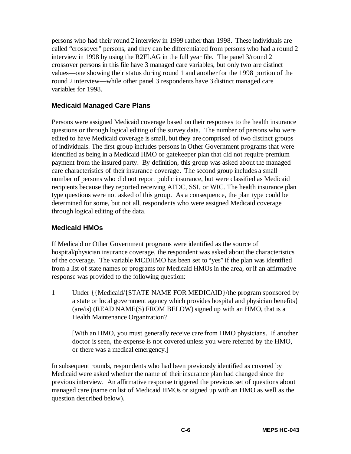persons who had their round 2 interview in 1999 rather than 1998. These individuals are called "crossover" persons, and they can be differentiated from persons who had a round 2 interview in 1998 by using the R2FLAG in the full year file. The panel 3/round 2 crossover persons in this file have 3 managed care variables, but only two are distinct values—one showing their status during round 1 and another for the 1998 portion of the round 2 interview—while other panel 3 respondents have 3 distinct managed care variables for 1998.

#### **Medicaid Managed Care Plans**

Persons were assigned Medicaid coverage based on their responses to the health insurance questions or through logical editing of the survey data. The number of persons who were edited to have Medicaid coverage is small, but they are comprised of two distinct groups of individuals. The first group includes persons in Other Government programs that were identified as being in a Medicaid HMO or gatekeeper plan that did not require premium payment from the insured party. By definition, this group was asked about the managed care characteristics of their insurance coverage. The second group includes a small number of persons who did not report public insurance, but were classified as Medicaid recipients because they reported receiving AFDC, SSI, or WIC. The health insurance plan type questions were not asked of this group. As a consequence, the plan type could be determined for some, but not all, respondents who were assigned Medicaid coverage through logical editing of the data.

#### **Medicaid HMOs**

If Medicaid or Other Government programs were identified as the source of hospital/physician insurance coverage, the respondent was asked about the characteristics of the coverage. The variable MCDHMO has been set to "yes" if the plan was identified from a list of state names or programs for Medicaid HMOs in the area, or if an affirmative response was provided to the following question:

1 Under {{Medicaid/{STATE NAME FOR MEDICAID}/the program sponsored by a state or local government agency which provides hospital and physician benefits} (are/is) (READ NAME(S) FROM BELOW) signed up with an HMO, that is a Health Maintenance Organization?

[With an HMO, you must generally receive care from HMO physicians. If another doctor is seen, the expense is not covered unless you were referred by the HMO, or there was a medical emergency.]

In subsequent rounds, respondents who had been previously identified as covered by Medicaid were asked whether the name of their insurance plan had changed since the previous interview. An affirmative response triggered the previous set of questions about managed care (name on list of Medicaid HMOs or signed up with an HMO as well as the question described below).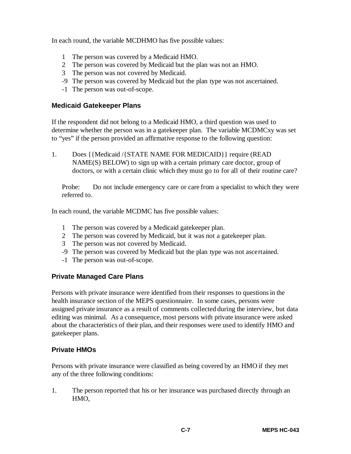In each round, the variable MCDHMO has five possible values:

- 1 The person was covered by a Medicaid HMO.
- 2 The person was covered by Medicaid but the plan was not an HMO.
- 3 The person was not covered by Medicaid.
- -9 The person was covered by Medicaid but the plan type was not ascertained.
- -1 The person was out-of-scope.

#### **Medicaid Gatekeeper Plans**

If the respondent did not belong to a Medicaid HMO, a third question was used to determine whether the person was in a gatekeeper plan. The variable MCDMCxy was set to "yes" if the person provided an affirmative response to the following question:

1. Does {{Medicaid /{STATE NAME FOR MEDICAID}} require (READ NAME(S) BELOW) to sign up with a certain primary care doctor, group of doctors, or with a certain clinic which they must go to for all of their routine care?

Probe: Do not include emergency care or care from a specialist to which they were referred to.

In each round, the variable MCDMC has five possible values:

- 1 The person was covered by a Medicaid gatekeeper plan.
- 2 The person was covered by Medicaid, but it was not a gatekeeper plan.
- 3 The person was not covered by Medicaid.
- -9 The person was covered by Medicaid but the plan type was not ascertained.
- -1 The person was out-of-scope.

#### **Private Managed Care Plans**

Persons with private insurance were identified from their responses to questions in the health insurance section of the MEPS questionnaire. In some cases, persons were assigned private insurance as a result of comments collected during the interview, but data editing was minimal. As a consequence, most persons with private insurance were asked about the characteristics of their plan, and their responses were used to identify HMO and gatekeeper plans.

#### **Private HMOs**

Persons with private insurance were classified as being covered by an HMO if they met any of the three following conditions:

1. The person reported that his or her insurance was purchased directly through an HMO,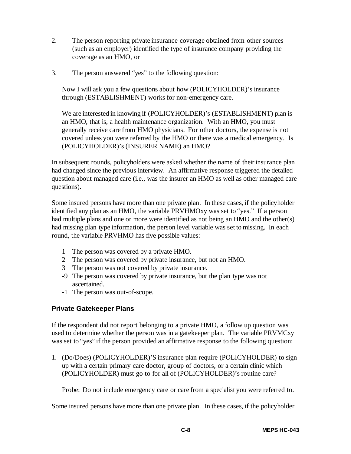- 2. The person reporting private insurance coverage obtained from other sources (such as an employer) identified the type of insurance company providing the coverage as an HMO, or
- 3. The person answered "yes" to the following question:

Now I will ask you a few questions about how (POLICYHOLDER)'s insurance through (ESTABLISHMENT) works for non-emergency care.

We are interested in knowing if (POLICYHOLDER)'s (ESTABLISHMENT) plan is an HMO, that is, a health maintenance organization. With an HMO, you must generally receive care from HMO physicians. For other doctors, the expense is not covered unless you were referred by the HMO or there was a medical emergency. Is (POLICYHOLDER)'s (INSURER NAME) an HMO?

In subsequent rounds, policyholders were asked whether the name of their insurance plan had changed since the previous interview. An affirmative response triggered the detailed question about managed care (i.e., was the insurer an HMO as well as other managed care questions).

Some insured persons have more than one private plan. In these cases, if the policyholder identified any plan as an HMO, the variable PRVHMOxy was set to "yes." If a person had multiple plans and one or more were identified as not being an HMO and the other(s) had missing plan type information, the person level variable was set to missing. In each round, the variable PRVHMO has five possible values:

- 1 The person was covered by a private HMO.
- 2 The person was covered by private insurance, but not an HMO.
- 3 The person was not covered by private insurance.
- -9 The person was covered by private insurance, but the plan type was not ascertained.
- -1 The person was out-of-scope.

#### **Private Gatekeeper Plans**

If the respondent did not report belonging to a private HMO, a follow up question was used to determine whether the person was in a gatekeeper plan. The variable PRVMCxy was set to "yes" if the person provided an affirmative response to the following question:

1. (Do/Does) (POLICYHOLDER)'S insurance plan require (POLICYHOLDER) to sign up with a certain primary care doctor, group of doctors, or a certain clinic which (POLICYHOLDER) must go to for all of (POLICYHOLDER)'s routine care?

Probe: Do not include emergency care or care from a specialist you were referred to.

Some insured persons have more than one private plan. In these cases, if the policyholder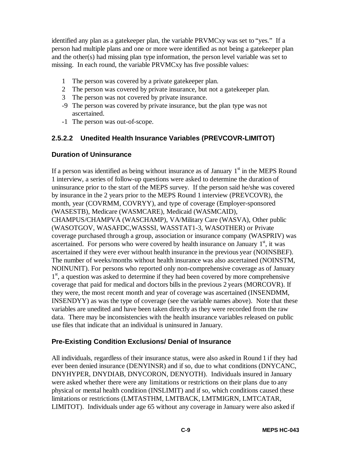identified any plan as a gatekeeper plan, the variable PRVMCxy was set to "yes." If a person had multiple plans and one or more were identified as not being a gatekeeper plan and the other(s) had missing plan type information, the person level variable was set to missing. In each round, the variable PRVMCxy has five possible values:

- 1 The person was covered by a private gatekeeper plan.
- 2 The person was covered by private insurance, but not a gatekeeper plan.
- 3 The person was not covered by private insurance.
- -9 The person was covered by private insurance, but the plan type was not ascertained.
- -1 The person was out-of-scope.

## **2.5.2.2 Unedited Health Insurance Variables (PREVCOVR-LIMITOT)**

#### **Duration of Uninsurance**

If a person was identified as being without insurance as of January  $1<sup>st</sup>$  in the MEPS Round 1 interview, a series of follow-up questions were asked to determine the duration of uninsurance prior to the start of the MEPS survey. If the person said he/she was covered by insurance in the 2 years prior to the MEPS Round 1 interview (PREVCOVR), the month, year (COVRMM, COVRYY), and type of coverage (Employer-sponsored (WASESTB), Medicare (WASMCARE), Medicaid (WASMCAID), CHAMPUS/CHAMPVA (WASCHAMP), VA/Military Care (WASVA), Other public (WASOTGOV, WASAFDC,WASSSI, WASSTAT1-3, WASOTHER) or Private coverage purchased through a group, association or insurance company (WASPRIV) was ascertained. For persons who were covered by health insurance on January  $1<sup>st</sup>$ , it was ascertained if they were ever without health insurance in the previous year (NOINSBEF). The number of weeks/months without health insurance was also ascertained (NOINSTM, NOINUNIT). For persons who reported only non-comprehensive coverage as of January  $1<sup>st</sup>$ , a question was asked to determine if they had been covered by more comprehensive coverage that paid for medical and doctors bills in the previous 2 years (MORCOVR). If they were, the most recent month and year of coverage was ascertained (INSENDMM, INSENDYY) as was the type of coverage (see the variable names above). Note that these variables are unedited and have been taken directly as they were recorded from the raw data. There may be inconsistencies with the health insurance variables released on public use files that indicate that an individual is uninsured in January.

#### **Pre-Existing Condition Exclusions/ Denial of Insurance**

All individuals, regardless of their insurance status, were also asked in Round 1 if they had ever been denied insurance (DENYINSR) and if so, due to what conditions (DNYCANC, DNYHYPER, DNYDIAB, DNYCORON, DENYOTH). Individuals insured in January were asked whether there were any limitations or restrictions on their plans due to any physical or mental health condition (INSLIMIT) and if so, which conditions caused these limitations or restrictions (LMTASTHM, LMTBACK, LMTMIGRN, LMTCATAR, LIMITOT). Individuals under age 65 without any coverage in January were also asked if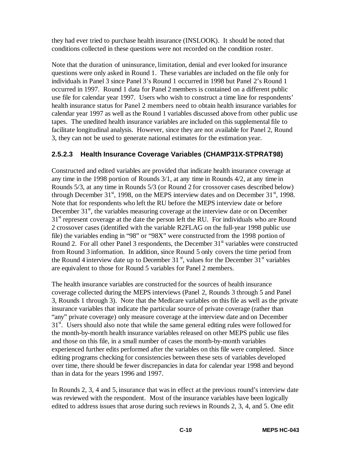they had ever tried to purchase health insurance (INSLOOK). It should be noted that conditions collected in these questions were not recorded on the condition roster.

Note that the duration of uninsurance, limitation, denial and ever looked for insurance questions were only asked in Round 1. These variables are included on the file only for individuals in Panel 3 since Panel 3's Round 1 occurred in 1998 but Panel 2's Round 1 occurred in 1997. Round 1 data for Panel 2 members is contained on a different public use file for calendar year 1997. Users who wish to construct a time line for respondents' health insurance status for Panel 2 members need to obtain health insurance variables for calendar year 1997 as well as the Round 1 variables discussed above from other public use tapes. The unedited health insurance variables are included on this supplemental file to facilitate longitudinal analysis. However, since they are not available for Panel 2, Round 3, they can not be used to generate national estimates for the estimation year.

#### **2.5.2.3 Health Insurance Coverage Variables (CHAMP31X-STPRAT98)**

Constructed and edited variables are provided that indicate health insurance coverage at any time in the 1998 portion of Rounds 3/1, at any time in Rounds 4/2, at any time in Rounds 5/3, at any time in Rounds 5/3 (or Round 2 for crossover cases described below) through December  $31<sup>st</sup>$ , 1998, on the MEPS interview dates and on December  $31<sup>st</sup>$ , 1998. Note that for respondents who left the RU before the MEPS interview date or before December  $31<sup>st</sup>$ , the variables measuring coverage at the interview date or on December  $31<sup>st</sup>$  represent coverage at the date the person left the RU. For individuals who are Round 2 crossover cases (identified with the variable R2FLAG on the full-year 1998 public use file) the variables ending in "98" or "98X" were constructed from the 1998 portion of Round 2. For all other Panel 3 respondents, the December  $31<sup>st</sup>$  variables were constructed from Round 3 information. In addition, since Round 5 only covers the time period from the Round 4 interview date up to December 31 $\mathrm{^{st}}$ , values for the December 31 $\mathrm{^{st}}$  variables are equivalent to those for Round 5 variables for Panel 2 members.

The health insurance variables are constructed for the sources of health insurance coverage collected during the MEPS interviews (Panel 2, Rounds 3 through 5 and Panel 3, Rounds 1 through 3). Note that the Medicare variables on this file as well as the private insurance variables that indicate the particular source of private coverage (rather than "any" private coverage) only measure coverage at the interview date and on December  $31<sup>st</sup>$ . Users should also note that while the same general editing rules were followed for the month-by-month health insurance variables released on other MEPS public use files and those on this file, in a small number of cases the month-by-month variables experienced further edits performed after the variables on this file were completed. Since editing programs checking for consistencies between these sets of variables developed over time, there should be fewer discrepancies in data for calendar year 1998 and beyond than in data for the years 1996 and 1997.

In Rounds 2, 3, 4 and 5, insurance that was in effect at the previous round's interview date was reviewed with the respondent. Most of the insurance variables have been logically edited to address issues that arose during such reviews in Rounds 2, 3, 4, and 5. One edit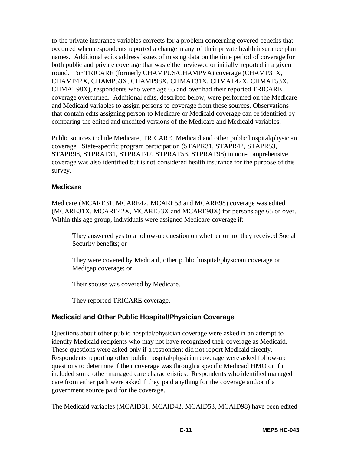to the private insurance variables corrects for a problem concerning covered benefits that occurred when respondents reported a change in any of their private health insurance plan names. Additional edits address issues of missing data on the time period of coverage for both public and private coverage that was either reviewed or initially reported in a given round. For TRICARE (formerly CHAMPUS/CHAMPVA) coverage (CHAMP31X, CHAMP42X, CHAMP53X, CHAMP98X, CHMAT31X, CHMAT42X, CHMAT53X, CHMAT98X), respondents who were age 65 and over had their reported TRICARE coverage overturned. Additional edits, described below, were performed on the Medicare and Medicaid variables to assign persons to coverage from these sources. Observations that contain edits assigning person to Medicare or Medicaid coverage can be identified by comparing the edited and unedited versions of the Medicare and Medicaid variables.

Public sources include Medicare, TRICARE, Medicaid and other public hospital/physician coverage. State-specific program participation (STAPR31, STAPR42, STAPR53, STAPR98, STPRAT31, STPRAT42, STPRAT53, STPRAT98) in non-comprehensive coverage was also identified but is not considered health insurance for the purpose of this survey.

#### **Medicare**

Medicare (MCARE31, MCARE42, MCARE53 and MCARE98) coverage was edited (MCARE31X, MCARE42X, MCARE53X and MCARE98X) for persons age 65 or over. Within this age group, individuals were assigned Medicare coverage if:

They answered yes to a follow-up question on whether or not they received Social Security benefits; or

They were covered by Medicaid, other public hospital/physician coverage or Medigap coverage: or

Their spouse was covered by Medicare.

They reported TRICARE coverage.

#### **Medicaid and Other Public Hospital/Physician Coverage**

Questions about other public hospital/physician coverage were asked in an attempt to identify Medicaid recipients who may not have recognized their coverage as Medicaid. These questions were asked only if a respondent did not report Medicaid directly. Respondents reporting other public hospital/physician coverage were asked follow-up questions to determine if their coverage was through a specific Medicaid HMO or if it included some other managed care characteristics. Respondents who identified managed care from either path were asked if they paid anything for the coverage and/or if a government source paid for the coverage.

The Medicaid variables (MCAID31, MCAID42, MCAID53, MCAID98) have been edited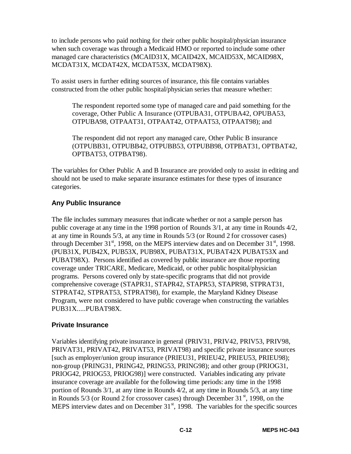to include persons who paid nothing for their other public hospital/physician insurance when such coverage was through a Medicaid HMO or reported to include some other managed care characteristics (MCAID31X, MCAID42X, MCAID53X, MCAID98X, MCDAT31X, MCDAT42X, MCDAT53X, MCDAT98X).

To assist users in further editing sources of insurance, this file contains variables constructed from the other public hospital/physician series that measure whether:

The respondent reported some type of managed care and paid something for the coverage, Other Public A Insurance (OTPUBA31, OTPUBA42, OPUBA53, OTPUBA98, OTPAAT31, OTPAAT42, OTPAAT53, OTPAAT98); and

The respondent did not report any managed care, Other Public B insurance (OTPUBB31, OTPUBB42, OTPUBB53, OTPUBB98, OTPBAT31, OPTBAT42, OPTBAT53, OTPBAT98).

The variables for Other Public A and B Insurance are provided only to assist in editing and should not be used to make separate insurance estimates for these types of insurance categories.

#### **Any Public Insurance**

The file includes summary measures that indicate whether or not a sample person has public coverage at any time in the 1998 portion of Rounds 3/1, at any time in Rounds 4/2, at any time in Rounds 5/3, at any time in Rounds 5/3 (or Round 2 for crossover cases) through December  $31<sup>st</sup>$ , 1998, on the MEPS interview dates and on December  $31<sup>st</sup>$ , 1998. (PUB31X, PUB42X, PUB53X, PUB98X, PUBAT31X, PUBAT42X PUBAT53X and PUBAT98X). Persons identified as covered by public insurance are those reporting coverage under TRICARE, Medicare, Medicaid, or other public hospital/physician programs. Persons covered only by state-specific programs that did not provide comprehensive coverage (STAPR31, STAPR42, STAPR53, STAPR98, STPRAT31, STPRAT42, STPRAT53, STPRAT98), for example, the Maryland Kidney Disease Program, were not considered to have public coverage when constructing the variables PUB31X.....PUBAT98X.

#### **Private Insurance**

Variables identifying private insurance in general (PRIV31, PRIV42, PRIV53, PRIV98, PRIVAT31, PRIVAT42, PRIVAT53, PRIVAT98) and specific private insurance sources [such as employer/union group insurance (PRIEU31, PRIEU42, PRIEU53, PRIEU98); non-group (PRING31, PRING42, PRING53, PRING98); and other group (PRIOG31, PRIOG42, PRIOG53, PRIOG98)] were constructed. Variables indicating any private insurance coverage are available for the following time periods: any time in the 1998 portion of Rounds 3/1, at any time in Rounds 4/2, at any time in Rounds 5/3, at any time in Rounds 5/3 (or Round 2 for crossover cases) through December  $31<sup>st</sup>$ , 1998, on the MEPS interview dates and on December  $31<sup>st</sup>$ , 1998. The variables for the specific sources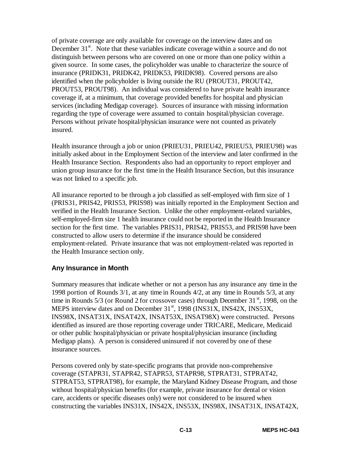of private coverage are only available for coverage on the interview dates and on December  $31<sup>st</sup>$ . Note that these variables indicate coverage within a source and do not distinguish between persons who are covered on one or more than one policy within a given source. In some cases, the policyholder was unable to characterize the source of insurance (PRIDK31, PRIDK42, PRIDK53, PRIDK98). Covered persons are also identified when the policyholder is living outside the RU (PROUT31, PROUT42, PROUT53, PROUT98). An individual was considered to have private health insurance coverage if, at a minimum, that coverage provided benefits for hospital and physician services (including Medigap coverage). Sources of insurance with missing information regarding the type of coverage were assumed to contain hospital/physician coverage. Persons without private hospital/physician insurance were not counted as privately insured.

Health insurance through a job or union (PRIEU31, PRIEU42, PRIEU53, PRIEU98) was initially asked about in the Employment Section of the interview and later confirmed in the Health Insurance Section. Respondents also had an opportunity to report employer and union group insurance for the first time in the Health Insurance Section, but this insurance was not linked to a specific job.

All insurance reported to be through a job classified as self-employed with firm size of 1 (PRIS31, PRIS42, PRIS53, PRIS98) was initially reported in the Employment Section and verified in the Health Insurance Section. Unlike the other employment-related variables, self-employed-firm size 1 health insurance could not be reported in the Health Insurance section for the first time. The variables PRIS31, PRIS42, PRIS53, and PRIS98 have been constructed to allow users to determine if the insurance should be considered employment-related. Private insurance that was not employment-related was reported in the Health Insurance section only.

#### **Any Insurance in Month**

Summary measures that indicate whether or not a person has any insurance any time in the 1998 portion of Rounds 3/1, at any time in Rounds 4/2, at any time in Rounds 5/3, at any time in Rounds  $5/3$  (or Round 2 for crossover cases) through December 31<sup>st</sup>, 1998, on the MEPS interview dates and on December 31<sup>st</sup>, 1998 (INS31X, INS42X, INS53X, INS98X, INSAT31X, INSAT42X, INSAT53X, INSAT98X) were constructed. Persons identified as insured are those reporting coverage under TRICARE, Medicare, Medicaid or other public hospital/physician or private hospital/physician insurance (including Medigap plans). A person is considered uninsured if not covered by one of these insurance sources.

Persons covered only by state-specific programs that provide non-comprehensive coverage (STAPR31, STAPR42, STAPR53, STAPR98, STPRAT31, STPRAT42, STPRAT53, STPRAT98), for example, the Maryland Kidney Disease Program, and those without hospital/physician benefits (for example, private insurance for dental or vision care, accidents or specific diseases only) were not considered to be insured when constructing the variables INS31X, INS42X, INS53X, INS98X, INSAT31X, INSAT42X,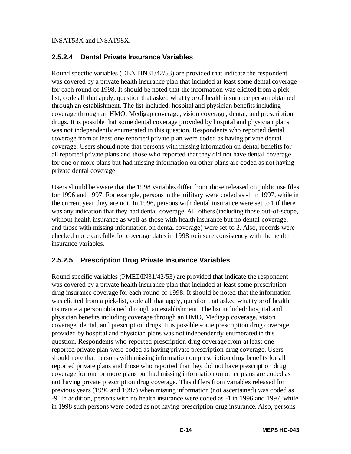INSAT53X and INSAT98X.

#### **2.5.2.4 Dental Private Insurance Variables**

Round specific variables (DENTIN31/42/53) are provided that indicate the respondent was covered by a private health insurance plan that included at least some dental coverage for each round of 1998. It should be noted that the information was elicited from a picklist, code all that apply, question that asked what type of health insurance person obtained through an establishment. The list included: hospital and physician benefits including coverage through an HMO, Medigap coverage, vision coverage, dental, and prescription drugs. It is possible that some dental coverage provided by hospital and physician plans was not independently enumerated in this question. Respondents who reported dental coverage from at least one reported private plan were coded as having private dental coverage. Users should note that persons with missing information on dental benefits for all reported private plans and those who reported that they did not have dental coverage for one or more plans but had missing information on other plans are coded as not having private dental coverage.

Users should be aware that the 1998 variables differ from those released on public use files for 1996 and 1997. For example, persons in the military were coded as -1 in 1997, while in the current year they are not. In 1996, persons with dental insurance were set to 1 if there was any indication that they had dental coverage. All others (including those out-of-scope, without health insurance as well as those with health insurance but no dental coverage, and those with missing information on dental coverage) were set to 2. Also, records were checked more carefully for coverage dates in 1998 to insure consistency with the health insurance variables.

## **2.5.2.5 Prescription Drug Private Insurance Variables**

Round specific variables (PMEDIN31/42/53) are provided that indicate the respondent was covered by a private health insurance plan that included at least some prescription drug insurance coverage for each round of 1998. It should be noted that the information was elicited from a pick-list, code all that apply, question that asked what type of health insurance a person obtained through an establishment. The list included: hospital and physician benefits including coverage through an HMO, Medigap coverage, vision coverage, dental, and prescription drugs. It is possible some prescription drug coverage provided by hospital and physician plans was not independently enumerated in this question. Respondents who reported prescription drug coverage from at least one reported private plan were coded as having private prescription drug coverage. Users should note that persons with missing information on prescription drug benefits for all reported private plans and those who reported that they did not have prescription drug coverage for one or more plans but had missing information on other plans are coded as not having private prescription drug coverage. This differs from variables released for previous years (1996 and 1997) when missing information (not ascertained) was coded as -9. In addition, persons with no health insurance were coded as -1 in 1996 and 1997, while in 1998 such persons were coded as not having prescription drug insurance. Also, persons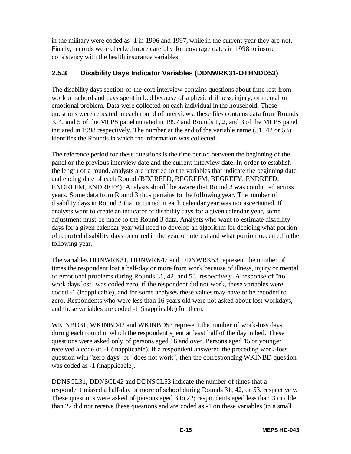in the military were coded as -1 in 1996 and 1997, while in the current year they are not. Finally, records were checked more carefully for coverage dates in 1998 to insure consistency with the health insurance variables.

## **2.5.3 Disability Days Indicator Variables (DDNWRK31-OTHNDD53)**

The disability days section of the core interview contains questions about time lost from work or school and days spent in bed because of a physical illness, injury, or mental or emotional problem. Data were collected on each individual in the household. These questions were repeated in each round of interviews; these files contains data from Rounds 3, 4, and 5 of the MEPS panel initiated in 1997 and Rounds 1, 2, and 3 of the MEPS panel initiated in 1998 respectively. The number at the end of the variable name (31, 42 or 53) identifies the Rounds in which the information was collected.

The reference period for these questions is the time period between the beginning of the panel or the previous interview date and the current interview date. In order to establish the length of a round, analysts are referred to the variables that indicate the beginning date and ending date of each Round (BEGREFD, BEGREFM, BEGREFY, ENDREFD, ENDREFM, ENDREFY). Analysts should be aware that Round 3 was conducted across years. Some data from Round 3 thus pertains to the following year. The number of disability days in Round 3 that occurred in each calendar year was not ascertained. If analysts want to create an indicator of disability days for a given calendar year, some adjustment must be made to the Round 3 data. Analysts who want to estimate disability days for a given calendar year will need to develop an algorithm for deciding what portion of reported disability days occurred in the year of interest and what portion occurred in the following year.

The variables DDNWRK31, DDNWRK42 and DDNWRK53 represent the number of times the respondent lost a half-day or more from work because of illness, injury or mental or emotional problems during Rounds 31, 42, and 53, respectively. A response of "no work days lost" was coded zero; if the respondent did not work, these variables were coded -1 (inapplicable), and for some analyses these values may have to be recoded to zero. Respondents who were less than 16 years old were not asked about lost workdays, and these variables are coded -1 (inapplicable) for them.

WKINBD31, WKINBD42 and WKINBD53 represent the number of work-loss days during each round in which the respondent spent at least half of the day in bed. These questions were asked only of persons aged 16 and over. Persons aged 15 or younger received a code of -1 (inapplicable). If a respondent answered the preceding work-loss question with "zero days" or "does not work", then the corresponding WKINBD question was coded as -1 (inapplicable).

DDNSCL31, DDNSCL42 and DDNSCL53 indicate the number of times that a respondent missed a half-day or more of school during Rounds 31, 42, or 53, respectively. These questions were asked of persons aged 3 to 22; respondents aged less than 3 or older than 22 did not receive these questions and are coded as -1 on these variables (in a small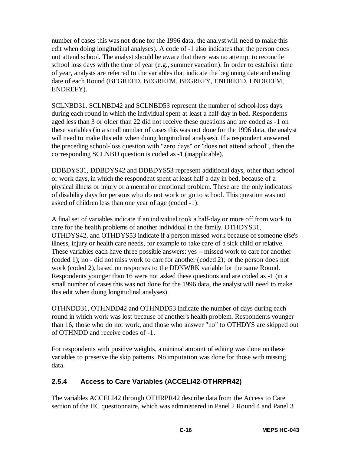number of cases this was not done for the 1996 data, the analyst will need to make this edit when doing longitudinal analyses). A code of -1 also indicates that the person does not attend school. The analyst should be aware that there was no attempt to reconcile school loss days with the time of year (e.g., summer vacation). In order to establish time of year, analysts are referred to the variables that indicate the beginning date and ending date of each Round (BEGREFD, BEGREFM, BEGREFY, ENDREFD, ENDREFM, ENDREFY).

SCLNBD31, SCLNBD42 and SCLNBD53 represent the number of school-loss days during each round in which the individual spent at least a half-day in bed. Respondents aged less than 3 or older than 22 did not receive these questions and are coded as -1 on these variables (in a small number of cases this was not done for the 1996 data, the analyst will need to make this edit when doing longitudinal analyses). If a respondent answered the preceding school-loss question with "zero days" or "does not attend school", then the corresponding SCLNBD question is coded as -1 (inapplicable).

DDBDYS31, DDBDYS42 and DDBDYS53 represent additional days, other than school or work days, in which the respondent spent at least half a day in bed, because of a physical illness or injury or a mental or emotional problem. These are the only indicators of disability days for persons who do not work or go to school. This question was not asked of children less than one year of age (coded -1).

A final set of variables indicate if an individual took a half-day or more off from work to care for the health problems of another individual in the family. OTHDYS31, OTHDYS42, and OTHDYS53 indicate if a person missed work because of someone else's illness, injury or health care needs, for example to take care of a sick child or relative. These variables each have three possible answers: yes -- missed work to care for another (coded 1); no - did not miss work to care for another (coded 2); or the person does not work (coded 2), based on responses to the DDNWRK variable for the same Round. Respondents younger than 16 were not asked these questions and are coded as -1 (in a small number of cases this was not done for the 1996 data, the analyst will need to make this edit when doing longitudinal analyses).

OTHNDD31, OTHNDD42 and OTHNDD53 indicate the number of days during each round in which work was lost because of another's health problem. Respondents younger than 16, those who do not work, and those who answer "no" to OTHDYS are skipped out of OTHNDD and receive codes of -1.

For respondents with positive weights, a minimal amount of editing was done on these variables to preserve the skip patterns. No imputation was done for those with missing data.

## **2.5.4 Access to Care Variables (ACCELI42-OTHRPR42)**

The variables ACCELI42 through OTHRPR42 describe data from the Access to Care section of the HC questionnaire, which was administered in Panel 2 Round 4 and Panel 3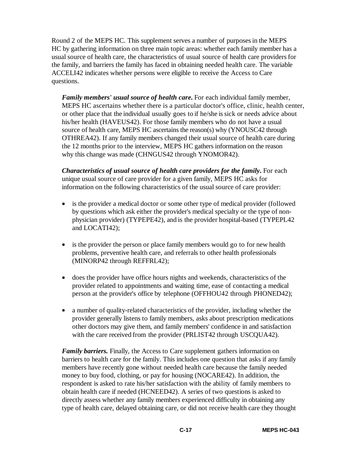Round 2 of the MEPS HC. This supplement serves a number of purposes in the MEPS HC by gathering information on three main topic areas: whether each family member has a usual source of health care, the characteristics of usual source of health care providers for the family, and barriers the family has faced in obtaining needed health care. The variable ACCELI42 indicates whether persons were eligible to receive the Access to Care questions.

*Family members' usual source of health care.* For each individual family member, MEPS HC ascertains whether there is a particular doctor's office, clinic, health center, or other place that the individual usually goes to if he/she is sick or needs advice about his/her health (HAVEUS42). For those family members who do not have a usual source of health care, MEPS HC ascertains the reason(s) why (YNOUSC42 through OTHREA42). If any family members changed their usual source of health care during the 12 months prior to the interview, MEPS HC gathers information on the reason why this change was made (CHNGUS42 through YNOMOR42).

*Characteristics of usual source of health care providers for the family.* For each unique usual source of care provider for a given family, MEPS HC asks for information on the following characteristics of the usual source of care provider:

- is the provider a medical doctor or some other type of medical provider (followed by questions which ask either the provider's medical specialty or the type of nonphysician provider) (TYPEPE42), and is the provider hospital-based (TYPEPL42 and LOCATI42);
- is the provider the person or place family members would go to for new health problems, preventive health care, and referrals to other health professionals (MINORP42 through REFFRL42);
- does the provider have office hours nights and weekends, characteristics of the provider related to appointments and waiting time, ease of contacting a medical person at the provider's office by telephone (OFFHOU42 through PHONED42);
- a number of quality-related characteristics of the provider, including whether the provider generally listens to family members, asks about prescription medications other doctors may give them, and family members' confidence in and satisfaction with the care received from the provider (PRLIST42 through USCQUA42).

*Family barriers.* Finally, the Access to Care supplement gathers information on barriers to health care for the family. This includes one question that asks if any family members have recently gone without needed health care because the family needed money to buy food, clothing, or pay for housing (NOCARE42). In addition, the respondent is asked to rate his/her satisfaction with the ability of family members to obtain health care if needed (HCNEED42). A series of two questions is asked to directly assess whether any family members experienced difficulty in obtaining any type of health care, delayed obtaining care, or did not receive health care they thought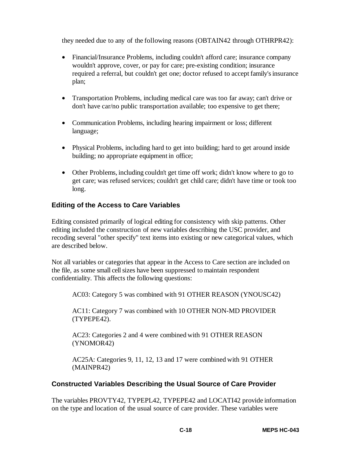they needed due to any of the following reasons (OBTAIN42 through OTHRPR42):

- Financial/Insurance Problems, including couldn't afford care; insurance company wouldn't approve, cover, or pay for care; pre-existing condition; insurance required a referral, but couldn't get one; doctor refused to accept family's insurance plan;
- Transportation Problems, including medical care was too far away; can't drive or don't have car/no public transportation available; too expensive to get there;
- Communication Problems, including hearing impairment or loss; different language;
- Physical Problems, including hard to get into building; hard to get around inside building; no appropriate equipment in office;
- Other Problems, including couldn't get time off work; didn't know where to go to get care; was refused services; couldn't get child care; didn't have time or took too long.

#### **Editing of the Access to Care Variables**

Editing consisted primarily of logical editing for consistency with skip patterns. Other editing included the construction of new variables describing the USC provider, and recoding several "other specify" text items into existing or new categorical values, which are described below.

Not all variables or categories that appear in the Access to Care section are included on the file, as some small cell sizes have been suppressed to maintain respondent confidentiality. This affects the following questions:

AC03: Category 5 was combined with 91 OTHER REASON (YNOUSC42)

AC11: Category 7 was combined with 10 OTHER NON-MD PROVIDER (TYPEPE42).

AC23: Categories 2 and 4 were combined with 91 OTHER REASON (YNOMOR42)

AC25A: Categories 9, 11, 12, 13 and 17 were combined with 91 OTHER (MAINPR42)

#### **Constructed Variables Describing the Usual Source of Care Provider**

The variables PROVTY42, TYPEPL42, TYPEPE42 and LOCATI42 provide information on the type and location of the usual source of care provider. These variables were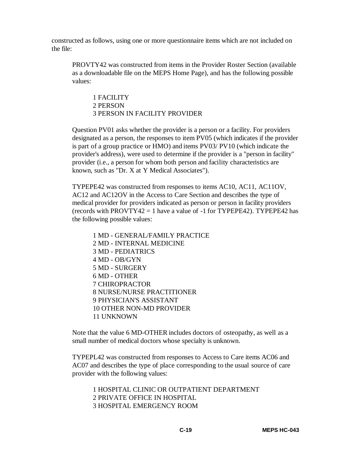constructed as follows, using one or more questionnaire items which are not included on the file:

PROVTY42 was constructed from items in the Provider Roster Section (available as a downloadable file on the MEPS Home Page), and has the following possible values:

1 FACILITY 2 PERSON 3 PERSON IN FACILITY PROVIDER

Question PV01 asks whether the provider is a person or a facility. For providers designated as a person, the responses to item PV05 (which indicates if the provider is part of a group practice or HMO) and items PV03/ PV10 (which indicate the provider's address), were used to determine if the provider is a "person in facility" provider (i.e., a person for whom both person and facility characteristics are known, such as "Dr. X at Y Medical Associates").

TYPEPE42 was constructed from responses to items AC10, AC11, AC11OV, AC12 and AC12OV in the Access to Care Section and describes the type of medical provider for providers indicated as person or person in facility providers (records with PROVTY42 = 1 have a value of  $-1$  for TYPEPE42). TYPEPE42 has the following possible values:

1 MD - GENERAL/FAMILY PRACTICE 2 MD - INTERNAL MEDICINE 3 MD - PEDIATRICS 4 MD - OB/GYN 5 MD - SURGERY 6 MD - OTHER 7 CHIROPRACTOR 8 NURSE/NURSE PRACTITIONER 9 PHYSICIAN'S ASSISTANT 10 OTHER NON-MD PROVIDER 11 UNKNOWN

Note that the value 6 MD-OTHER includes doctors of osteopathy, as well as a small number of medical doctors whose specialty is unknown.

TYPEPL42 was constructed from responses to Access to Care items AC06 and AC07 and describes the type of place corresponding to the usual source of care provider with the following values:

1 HOSPITAL CLINIC OR OUTPATIENT DEPARTMENT 2 PRIVATE OFFICE IN HOSPITAL 3 HOSPITAL EMERGENCY ROOM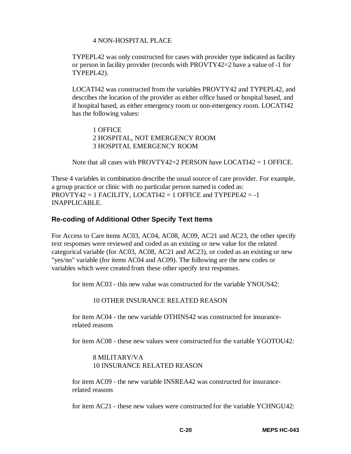#### 4 NON-HOSPITAL PLACE

TYPEPL42 was only constructed for cases with provider type indicated as facility or person in facility provider (records with PROVTY42=2 have a value of -1 for TYPEPL42).

LOCATI42 was constructed from the variables PROVTY42 and TYPEPL42, and describes the location of the provider as either office based or hospital based, and if hospital based, as either emergency room or non-emergency room. LOCATI42 has the following values:

1 OFFICE 2 HOSPITAL, NOT EMERGENCY ROOM 3 HOSPITAL EMERGENCY ROOM

Note that all cases with PROVTY42=2 PERSON have LOCATI42  $=$  1 OFFICE.

These 4 variables in combination describe the usual source of care provider. For example, a group practice or clinic with no particular person named is coded as:  $PROVTY42 = 1$  FACILITY, LOCATI42 = 1 OFFICE and TYPEPE42 = -1 INAPPLICABLE.

#### **Re-coding of Additional Other Specify Text Items**

For Access to Care items AC03, AC04, AC08, AC09, AC21 and AC23, the other specify text responses were reviewed and coded as an existing or new value for the related categorical variable (for AC03, AC08, AC21 and AC23), or coded as an existing or new "yes/no" variable (for items AC04 and AC09). The following are the new codes or variables which were created from these other specify text responses.

for item AC03 - this new value was constructed for the variable YNOUS42:

10 OTHER INSURANCE RELATED REASON

for item AC04 - the new variable OTHINS42 was constructed for insurancerelated reasons

for item AC08 - these new values were constructed for the variable YGOTOU42:

#### 8 MILITARY/VA 10 INSURANCE RELATED REASON

for item AC09 - the new variable INSREA42 was constructed for insurancerelated reasons

for item AC21 - these new values were constructed for the variable YCHNGU42: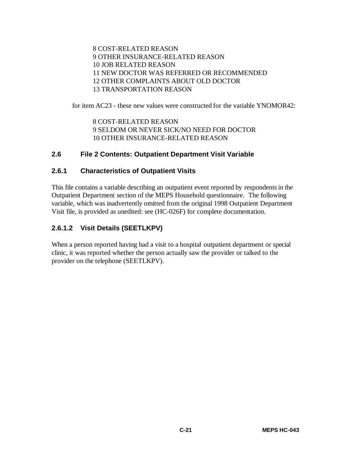8 COST-RELATED REASON 9 OTHER INSURANCE-RELATED REASON 10 JOB RELATED REASON 11 NEW DOCTOR WAS REFERRED OR RECOMMENDED 12 OTHER COMPLAINTS ABOUT OLD DOCTOR 13 TRANSPORTATION REASON

for item AC23 - these new values were constructed for the variable YNOMOR42:

8 COST-RELATED REASON 9 SELDOM OR NEVER SICK/NO NEED FOR DOCTOR 10 OTHER INSURANCE-RELATED REASON

#### **2.6 File 2 Contents: Outpatient Department Visit Variable**

#### **2.6.1 Characteristics of Outpatient Visits**

This file contains a variable describing an outpatient event reported by respondents in the Outpatient Department section of the MEPS Household questionnaire. The following variable, which was inadvertently omitted from the original 1998 Outpatient Department Visit file, is provided as unedited: see (HC-026F) for complete documentation.

#### **2.6.1.2 Visit Details (SEETLKPV)**

When a person reported having had a visit to a hospital outpatient department or special clinic, it was reported whether the person actually saw the provider or talked to the provider on the telephone (SEETLKPV).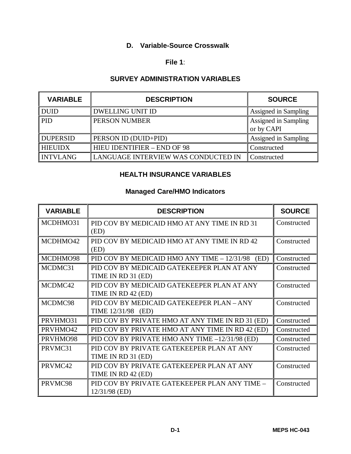## **D. Variable-Source Crosswalk**

#### **File 1**:

#### **SURVEY ADMINISTRATION VARIABLES**

| <b>VARIABLE</b> | <b>DESCRIPTION</b>                  | <b>SOURCE</b>                      |
|-----------------|-------------------------------------|------------------------------------|
| <b>DUID</b>     | <b>DWELLING UNIT ID</b>             | Assigned in Sampling               |
| <b>PID</b>      | PERSON NUMBER                       | Assigned in Sampling<br>or by CAPI |
| <b>DUPERSID</b> | PERSON ID (DUID+PID)                | Assigned in Sampling               |
| <b>HIEUIDX</b>  | <b>HIEU IDENTIFIER - END OF 98</b>  | Constructed                        |
| <b>INTVLANG</b> | LANGUAGE INTERVIEW WAS CONDUCTED IN | Constructed                        |

#### **HEALTH INSURANCE VARIABLES**

#### **Managed Care/HMO Indicators**

| <b>VARIABLE</b> | <b>DESCRIPTION</b>                               | <b>SOURCE</b> |
|-----------------|--------------------------------------------------|---------------|
| MCDHMO31        | PID COV BY MEDICAID HMO AT ANY TIME IN RD 31     | Constructed   |
|                 | (ED)                                             |               |
| MCDHMO42        | PID COV BY MEDICAID HMO AT ANY TIME IN RD 42     | Constructed   |
|                 | (ED)                                             |               |
| MCDHMO98        | PID COV BY MEDICAID HMO ANY TIME - 12/31/98 (ED) | Constructed   |
| MCDMC31         | PID COV BY MEDICAID GATEKEEPER PLAN AT ANY       | Constructed   |
|                 | TIME IN RD 31 (ED)                               |               |
| MCDMC42         | PID COV BY MEDICAID GATEKEEPER PLAN AT ANY       | Constructed   |
|                 | TIME IN RD 42 (ED)                               |               |
| MCDMC98         | PID COV BY MEDICAID GATEKEEPER PLAN - ANY        | Constructed   |
|                 | TIME 12/31/98 (ED)                               |               |
| PRVHMO31        | PID COV BY PRIVATE HMO AT ANY TIME IN RD 31 (ED) | Constructed   |
| PRVHMO42        | PID COV BY PRIVATE HMO AT ANY TIME IN RD 42 (ED) | Constructed   |
| PRVHMO98        | PID COV BY PRIVATE HMO ANY TIME -12/31/98 (ED)   | Constructed   |
| PRVMC31         | PID COV BY PRIVATE GATEKEEPER PLAN AT ANY        | Constructed   |
|                 | TIME IN RD 31 (ED)                               |               |
| PRVMC42         | PID COV BY PRIVATE GATEKEEPER PLAN AT ANY        | Constructed   |
|                 | TIME IN RD 42 (ED)                               |               |
| PRVMC98         | PID COV BY PRIVATE GATEKEEPER PLAN ANY TIME -    | Constructed   |
|                 | 12/31/98 (ED)                                    |               |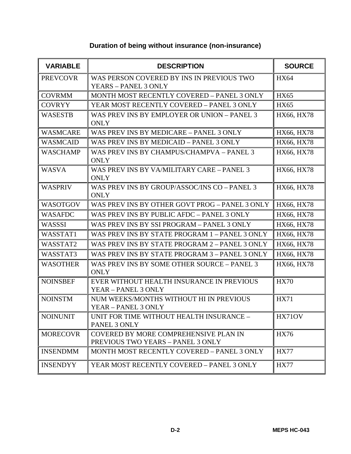| Duration of being without insurance (non-insurance) |  |  |
|-----------------------------------------------------|--|--|
|-----------------------------------------------------|--|--|

| <b>VARIABLE</b> | <b>DESCRIPTION</b>                                                         | <b>SOURCE</b>     |
|-----------------|----------------------------------------------------------------------------|-------------------|
| <b>PREVCOVR</b> | WAS PERSON COVERED BY INS IN PREVIOUS TWO<br>YEARS - PANEL 3 ONLY          | <b>HX64</b>       |
| <b>COVRMM</b>   | MONTH MOST RECENTLY COVERED - PANEL 3 ONLY                                 | <b>HX65</b>       |
| <b>COVRYY</b>   | YEAR MOST RECENTLY COVERED - PANEL 3 ONLY                                  | <b>HX65</b>       |
| <b>WASESTB</b>  | WAS PREV INS BY EMPLOYER OR UNION - PANEL 3<br><b>ONLY</b>                 | <b>HX66, HX78</b> |
| <b>WASMCARE</b> | WAS PREV INS BY MEDICARE - PANEL 3 ONLY                                    | HX66, HX78        |
| <b>WASMCAID</b> | WAS PREV INS BY MEDICAID - PANEL 3 ONLY                                    | HX66, HX78        |
| <b>WASCHAMP</b> | WAS PREV INS BY CHAMPUS/CHAMPVA - PANEL 3<br><b>ONLY</b>                   | <b>HX66, HX78</b> |
| <b>WASVA</b>    | WAS PREV INS BY VA/MILITARY CARE - PANEL 3<br><b>ONLY</b>                  | <b>HX66, HX78</b> |
| <b>WASPRIV</b>  | WAS PREV INS BY GROUP/ASSOC/INS CO - PANEL 3<br><b>ONLY</b>                | <b>HX66, HX78</b> |
| <b>WASOTGOV</b> | WAS PREV INS BY OTHER GOVT PROG - PANEL 3 ONLY                             | HX66, HX78        |
| <b>WASAFDC</b>  | WAS PREV INS BY PUBLIC AFDC - PANEL 3 ONLY                                 | HX66, HX78        |
| WASSSI          | WAS PREV INS BY SSI PROGRAM - PANEL 3 ONLY                                 | HX66, HX78        |
| WASSTAT1        | WAS PREV INS BY STATE PROGRAM 1-PANEL 3 ONLY                               | <b>HX66, HX78</b> |
| WASSTAT2        | WAS PREV INS BY STATE PROGRAM 2 - PANEL 3 ONLY                             | <b>HX66, HX78</b> |
| WASSTAT3        | WAS PREV INS BY STATE PROGRAM 3 - PANEL 3 ONLY                             | HX66, HX78        |
| <b>WASOTHER</b> | WAS PREV INS BY SOME OTHER SOURCE - PANEL 3<br><b>ONLY</b>                 | HX66, HX78        |
| <b>NOINSBEF</b> | EVER WITHOUT HEALTH INSURANCE IN PREVIOUS<br>YEAR - PANEL 3 ONLY           | <b>HX70</b>       |
| <b>NOINSTM</b>  | NUM WEEKS/MONTHS WITHOUT HI IN PREVIOUS<br>YEAR - PANEL 3 ONLY             | <b>HX71</b>       |
| <b>NOINUNIT</b> | UNIT FOR TIME WITHOUT HEALTH INSURANCE –<br>PANEL 3 ONLY                   | HX71OV            |
| <b>MORECOVR</b> | COVERED BY MORE COMPREHENSIVE PLAN IN<br>PREVIOUS TWO YEARS - PANEL 3 ONLY | <b>HX76</b>       |
| <b>INSENDMM</b> | MONTH MOST RECENTLY COVERED - PANEL 3 ONLY                                 | <b>HX77</b>       |
| <b>INSENDYY</b> | YEAR MOST RECENTLY COVERED - PANEL 3 ONLY                                  | <b>HX77</b>       |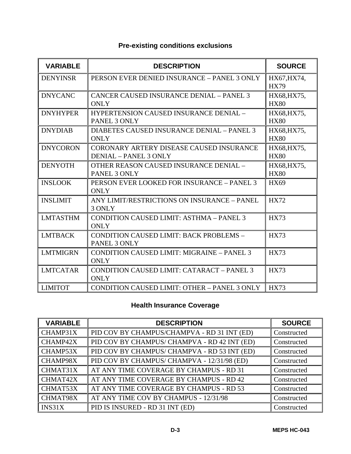| <b>VARIABLE</b> | <b>DESCRIPTION</b>                                                       | <b>SOURCE</b>              |
|-----------------|--------------------------------------------------------------------------|----------------------------|
| <b>DENYINSR</b> | PERSON EVER DENIED INSURANCE - PANEL 3 ONLY                              | HX67, HX74,<br><b>HX79</b> |
| <b>DNYCANC</b>  | <b>CANCER CAUSED INSURANCE DENIAL - PANEL 3</b><br><b>ONLY</b>           | HX68, HX75,<br><b>HX80</b> |
| <b>DNYHYPER</b> | <b>HYPERTENSION CAUSED INSURANCE DENIAL -</b><br>PANEL 3 ONLY            | HX68, HX75,<br><b>HX80</b> |
| <b>DNYDIAB</b>  | DIABETES CAUSED INSURANCE DENIAL - PANEL 3<br><b>ONLY</b>                | HX68, HX75,<br><b>HX80</b> |
| <b>DNYCORON</b> | CORONARY ARTERY DISEASE CAUSED INSURANCE<br><b>DENIAL - PANEL 3 ONLY</b> | HX68, HX75,<br><b>HX80</b> |
| <b>DENYOTH</b>  | OTHER REASON CAUSED INSURANCE DENIAL -<br>PANEL 3 ONLY                   | HX68, HX75,<br><b>HX80</b> |
| <b>INSLOOK</b>  | PERSON EVER LOOKED FOR INSURANCE - PANEL 3<br><b>ONLY</b>                | <b>HX69</b>                |
| <b>INSLIMIT</b> | ANY LIMIT/RESTRICTIONS ON INSURANCE - PANEL<br>3 ONLY                    | <b>HX72</b>                |
| <b>LMTASTHM</b> | CONDITION CAUSED LIMIT: ASTHMA - PANEL 3<br><b>ONLY</b>                  | <b>HX73</b>                |
| <b>LMTBACK</b>  | CONDITION CAUSED LIMIT: BACK PROBLEMS -<br>PANEL 3 ONLY                  | <b>HX73</b>                |
| <b>LMTMIGRN</b> | <b>CONDITION CAUSED LIMIT: MIGRAINE - PANEL 3</b><br><b>ONLY</b>         | <b>HX73</b>                |
| <b>LMTCATAR</b> | <b>CONDITION CAUSED LIMIT: CATARACT - PANEL 3</b><br><b>ONLY</b>         | <b>HX73</b>                |
| <b>LIMITOT</b>  | CONDITION CAUSED LIMIT: OTHER - PANEL 3 ONLY                             | <b>HX73</b>                |

## **Pre-existing conditions exclusions**

## **Health Insurance Coverage**

| <b>VARIABLE</b> | <b>DESCRIPTION</b>                           | <b>SOURCE</b> |
|-----------------|----------------------------------------------|---------------|
| CHAMP31X        | PID COV BY CHAMPUS/CHAMPVA - RD 31 INT (ED)  | Constructed   |
| CHAMP42X        | PID COV BY CHAMPUS/ CHAMPVA - RD 42 INT (ED) | Constructed   |
| CHAMP53X        | PID COV BY CHAMPUS/ CHAMPVA - RD 53 INT (ED) | Constructed   |
| CHAMP98X        | PID COV BY CHAMPUS/ CHAMPVA - 12/31/98 (ED)  | Constructed   |
| CHMAT31X        | AT ANY TIME COVERAGE BY CHAMPUS - RD 31      | Constructed   |
| CHMAT42X        | AT ANY TIME COVERAGE BY CHAMPUS - RD 42      | Constructed   |
| CHMAT53X        | AT ANY TIME COVERAGE BY CHAMPUS - RD 53      | Constructed   |
| CHMAT98X        | AT ANY TIME COV BY CHAMPUS - 12/31/98        | Constructed   |
| INS31X          | PID IS INSURED - RD 31 INT (ED)              | Constructed   |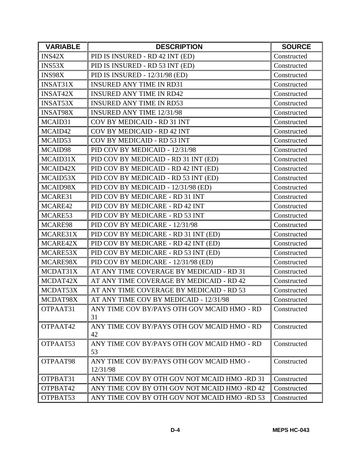| <b>VARIABLE</b> | <b>DESCRIPTION</b>                                   | <b>SOURCE</b> |
|-----------------|------------------------------------------------------|---------------|
| INS42X          | PID IS INSURED - RD 42 INT (ED)                      | Constructed   |
| INS53X          | PID IS INSURED - RD 53 INT (ED)                      | Constructed   |
| INS98X          | PID IS INSURED - 12/31/98 (ED)                       | Constructed   |
| <b>INSAT31X</b> | <b>INSURED ANY TIME IN RD31</b>                      | Constructed   |
| <b>INSAT42X</b> | <b>INSURED ANY TIME IN RD42</b>                      | Constructed   |
| <b>INSAT53X</b> | <b>INSURED ANY TIME IN RD53</b>                      | Constructed   |
| <b>INSAT98X</b> | <b>INSURED ANY TIME 12/31/98</b>                     | Constructed   |
| MCAID31         | COV BY MEDICAID - RD 31 INT                          | Constructed   |
| MCAID42         | COV BY MEDICAID - RD 42 INT                          | Constructed   |
| MCAID53         | COV BY MEDICAID - RD 53 INT                          | Constructed   |
| MCAID98         | PID COV BY MEDICAID - 12/31/98                       | Constructed   |
| MCAID31X        | PID COV BY MEDICAID - RD 31 INT (ED)                 | Constructed   |
| MCAID42X        | PID COV BY MEDICAID - RD 42 INT (ED)                 | Constructed   |
| MCAID53X        | PID COV BY MEDICAID - RD 53 INT (ED)                 | Constructed   |
| MCAID98X        | PID COV BY MEDICAID - 12/31/98 (ED)                  | Constructed   |
| MCARE31         | PID COV BY MEDICARE - RD 31 INT                      | Constructed   |
| MCARE42         | PID COV BY MEDICARE - RD 42 INT                      | Constructed   |
| MCARE53         | PID COV BY MEDICARE - RD 53 INT                      | Constructed   |
| MCARE98         | PID COV BY MEDICARE - 12/31/98                       | Constructed   |
| MCARE31X        | PID COV BY MEDICARE - RD 31 INT (ED)                 | Constructed   |
| MCARE42X        | PID COV BY MEDICARE - RD 42 INT (ED)                 | Constructed   |
| MCARE53X        | PID COV BY MEDICARE - RD 53 INT (ED)                 | Constructed   |
| MCARE98X        | PID COV BY MEDICARE - 12/31/98 (ED)                  | Constructed   |
| MCDAT31X        | AT ANY TIME COVERAGE BY MEDICAID - RD 31             | Constructed   |
| MCDAT42X        | AT ANY TIME COVERAGE BY MEDICAID - RD 42             | Constructed   |
| MCDAT53X        | AT ANY TIME COVERAGE BY MEDICAID - RD 53             | Constructed   |
| MCDAT98X        | AT ANY TIME COV BY MEDICAID - 12/31/98               | Constructed   |
| OTPAAT31        | ANY TIME COV BY/PAYS OTH GOV MCAID HMO - RD<br>31    | Constructed   |
| OTPAAT42        | ANY TIME COV BY/PAYS OTH GOV MCAID HMO - RD<br>42    | Constructed   |
| OTPAAT53        | ANY TIME COV BY/PAYS OTH GOV MCAID HMO - RD<br>53    | Constructed   |
| OTPAAT98        | ANY TIME COV BY/PAYS OTH GOV MCAID HMO -<br>12/31/98 | Constructed   |
| OTPBAT31        | ANY TIME COV BY OTH GOV NOT MCAID HMO -RD 31         | Constructed   |
| OTPBAT42        | ANY TIME COV BY OTH GOV NOT MCAID HMO -RD 42         | Constructed   |
| OTPBAT53        | ANY TIME COV BY OTH GOV NOT MCAID HMO -RD 53         | Constructed   |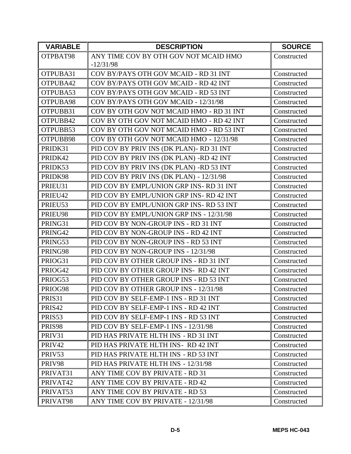| <b>VARIABLE</b>    | <b>DESCRIPTION</b>                        | <b>SOURCE</b> |
|--------------------|-------------------------------------------|---------------|
| OTPBAT98           | ANY TIME COV BY OTH GOV NOT MCAID HMO     | Constructed   |
|                    | $-12/31/98$                               |               |
| OTPUBA31           | COV BY/PAYS OTH GOV MCAID - RD 31 INT     | Constructed   |
| OTPUBA42           | COV BY/PAYS OTH GOV MCAID - RD 42 INT     | Constructed   |
| OTPUBA53           | COV BY/PAYS OTH GOV MCAID - RD 53 INT     | Constructed   |
| OTPUBA98           | COV BY/PAYS OTH GOV MCAID - 12/31/98      | Constructed   |
| OTPUBB31           | COV BY OTH GOV NOT MCAID HMO - RD 31 INT  | Constructed   |
| OTPUBB42           | COV BY OTH GOV NOT MCAID HMO - RD 42 INT  | Constructed   |
| OTPUBB53           | COV BY OTH GOV NOT MCAID HMO - RD 53 INT  | Constructed   |
| OTPUBB98           | COV BY OTH GOV NOT MCAID HMO - 12/31/98   | Constructed   |
| PRIDK31            | PID COV BY PRIV INS (DK PLAN) - RD 31 INT | Constructed   |
| PRIDK42            | PID COV BY PRIV INS (DK PLAN) -RD 42 INT  | Constructed   |
| PRIDK53            | PID COV BY PRIV INS (DK PLAN) -RD 53 INT  | Constructed   |
| PRIDK98            | PID COV BY PRIV INS (DK PLAN) - 12/31/98  | Constructed   |
| PRIEU31            | PID COV BY EMPL/UNION GRP INS-RD 31 INT   | Constructed   |
| PRIEU42            | PID COV BY EMPL/UNION GRP INS-RD 42 INT   | Constructed   |
| PRIEU53            | PID COV BY EMPL/UNION GRP INS-RD 53 INT   | Constructed   |
| PRIEU98            | PID COV BY EMPL/UNION GRP INS - 12/31/98  | Constructed   |
| PRING31            | PID COV BY NON-GROUP INS - RD 31 INT      | Constructed   |
| PRING42            | PID COV BY NON-GROUP INS - RD 42 INT      | Constructed   |
| PRING53            | PID COV BY NON-GROUP INS - RD 53 INT      | Constructed   |
| PRING98            | PID COV BY NON-GROUP INS - 12/31/98       | Constructed   |
| PRIOG31            | PID COV BY OTHER GROUP INS - RD 31 INT    | Constructed   |
| PRIOG42            | PID COV BY OTHER GROUP INS-RD 42 INT      | Constructed   |
| PRIOG53            | PID COV BY OTHER GROUP INS - RD 53 INT    | Constructed   |
| PRIOG98            | PID COV BY OTHER GROUP INS - 12/31/98     | Constructed   |
| PRIS31             | PID COV BY SELF-EMP-1 INS - RD 31 INT     | Constructed   |
| PRIS <sub>42</sub> | PID COV BY SELF-EMP-1 INS - RD 42 INT     | Constructed   |
| PRIS53             | PID COV BY SELF-EMP-1 INS - RD 53 INT     | Constructed   |
| PRIS98             | PID COV BY SELF-EMP-1 INS - 12/31/98      | Constructed   |
| PRIV31             | PID HAS PRIVATE HLTH INS - RD 31 INT      | Constructed   |
| PRIV42             | PID HAS PRIVATE HLTH INS-RD 42 INT        | Constructed   |
| PRIV53             | PID HAS PRIVATE HLTH INS - RD 53 INT      | Constructed   |
| PRIV98             | PID HAS PRIVATE HLTH INS - 12/31/98       | Constructed   |
| PRIVAT31           | ANY TIME COV BY PRIVATE - RD 31           | Constructed   |
| PRIVAT42           | ANY TIME COV BY PRIVATE - RD 42           | Constructed   |
| PRIVAT53           | ANY TIME COV BY PRIVATE - RD 53           | Constructed   |
| PRIVAT98           | ANY TIME COV BY PRIVATE - 12/31/98        | Constructed   |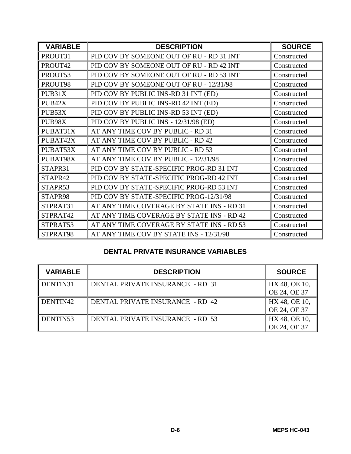| <b>VARIABLE</b> | <b>DESCRIPTION</b>                        | <b>SOURCE</b> |
|-----------------|-------------------------------------------|---------------|
| PROUT31         | PID COV BY SOMEONE OUT OF RU - RD 31 INT  | Constructed   |
| PROUT42         | PID COV BY SOMEONE OUT OF RU - RD 42 INT  | Constructed   |
| PROUT53         | PID COV BY SOMEONE OUT OF RU - RD 53 INT  | Constructed   |
| PROUT98         | PID COV BY SOMEONE OUT OF RU - 12/31/98   | Constructed   |
| PUB31X          | PID COV BY PUBLIC INS-RD 31 INT (ED)      | Constructed   |
| PUB42X          | PID COV BY PUBLIC INS-RD 42 INT (ED)      | Constructed   |
| PUB53X          | PID COV BY PUBLIC INS-RD 53 INT (ED)      | Constructed   |
| PUB98X          | PID COV BY PUBLIC INS - 12/31/98 (ED)     | Constructed   |
| PUBAT31X        | AT ANY TIME COV BY PUBLIC - RD 31         | Constructed   |
| PUBAT42X        | AT ANY TIME COV BY PUBLIC - RD 42         | Constructed   |
| PUBAT53X        | AT ANY TIME COV BY PUBLIC - RD 53         | Constructed   |
| PUBAT98X        | AT ANY TIME COV BY PUBLIC - 12/31/98      | Constructed   |
| STAPR31         | PID COV BY STATE-SPECIFIC PROG-RD 31 INT  | Constructed   |
| STAPR42         | PID COV BY STATE-SPECIFIC PROG-RD 42 INT  | Constructed   |
| STAPR53         | PID COV BY STATE-SPECIFIC PROG-RD 53 INT  | Constructed   |
| STAPR98         | PID COV BY STATE-SPECIFIC PROG-12/31/98   | Constructed   |
| STPRAT31        | AT ANY TIME COVERAGE BY STATE INS - RD 31 | Constructed   |
| STPRAT42        | AT ANY TIME COVERAGE BY STATE INS - RD 42 | Constructed   |
| STPRAT53        | AT ANY TIME COVERAGE BY STATE INS - RD 53 | Constructed   |
| STPRAT98        | AT ANY TIME COV BY STATE INS - 12/31/98   | Constructed   |

## **DENTAL PRIVATE INSURANCE VARIABLES**

| <b>VARIABLE</b> | <b>DESCRIPTION</b>                      | <b>SOURCE</b>                 |
|-----------------|-----------------------------------------|-------------------------------|
| DENTIN31        | DENTAL PRIVATE INSURANCE - RD 31        | HX 48, OE 10,<br>OE 24, OE 37 |
| DENTIN42        | DENTAL PRIVATE INSURANCE - RD 42        | HX 48, OE 10,<br>OE 24, OE 37 |
| DENTIN53        | <b>DENTAL PRIVATE INSURANCE - RD 53</b> | HX 48, OE 10,<br>OE 24, OE 37 |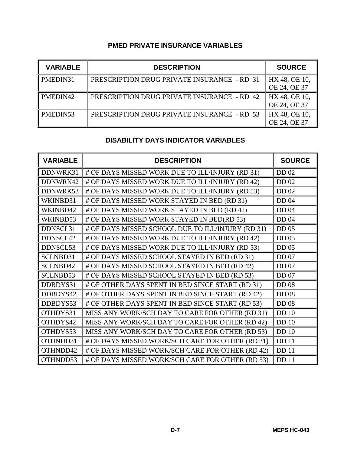## **PMED PRIVATE INSURANCE VARIABLES**

| <b>VARIABLE</b> | <b>DESCRIPTION</b>                                 | <b>SOURCE</b> |
|-----------------|----------------------------------------------------|---------------|
| PMEDIN31        | PRESCRIPTION DRUG PRIVATE INSURANCE - RD 31        | HX 48, OE 10, |
|                 |                                                    | OE 24, OE 37  |
| PMEDIN42        | <b>PRESCRIPTION DRUG PRIVATE INSURANCE - RD 42</b> | HX 48, OE 10, |
|                 |                                                    | OE 24, OE 37  |
| PMEDIN53        | <b>PRESCRIPTION DRUG PRIVATE INSURANCE - RD 53</b> | HX 48, OE 10, |
|                 |                                                    | OE 24, OE 37  |

## **DISABILITY DAYS INDICATOR VARIABLES**

| <b>VARIABLE</b> | <b>DESCRIPTION</b>                                | <b>SOURCE</b>    |
|-----------------|---------------------------------------------------|------------------|
| DDNWRK31        | # OF DAYS MISSED WORK DUE TO ILL/INJURY (RD 31)   | DD 02            |
| DDNWRK42        | # OF DAYS MISSED WORK DUE TO ILL/INJURY (RD 42)   | <b>DD</b> 02     |
| DDNWRK53        | # OF DAYS MISSED WORK DUE TO ILL/INJURY (RD 53)   | DD 02            |
| WKINBD31        | # OF DAYS MISSED WORK STAYED IN BED (RD 31)       | DD 04            |
| WKINBD42        | # OF DAYS MISSED WORK STAYED IN BED (RD 42)       | <b>DD</b> 04     |
| WKINBD53        | # OF DAYS MISSED WORK STAYED IN BED(RD 53)        | DD 04            |
| DDNSCL31        | # OF DAYS MISSED SCHOOL DUE TO ILL/INJURY (RD 31) | <b>DD</b> 05     |
| DDNSCL42        | # OF DAYS MISSED WORK DUE TO ILL/INJURY (RD 42)   | DD 05            |
| DDNSCL53        | # OF DAYS MISSED WORK DUE TO ILL/INJURY (RD 53)   | <b>DD</b> 05     |
| SCLNBD31        | # OF DAYS MISSED SCHOOL STAYED IN BED (RD 31)     | <b>DD</b> 07     |
| SCLNBD42        | # OF DAYS MISSED SCHOOL STAYED IN BED (RD 42)     | <b>DD 07</b>     |
| SCLNBD53        | # OF DAYS MISSED SCHOOL STAYED IN BED (RD 53)     | <b>DD</b> 07     |
| DDBDYS31        | # OF OTHER DAYS SPENT IN BED SINCE START (RD 31)  | <b>DD 08</b>     |
| DDBDYS42        | # OF OTHER DAYS SPENT IN BED SINCE START (RD 42)  | <b>DD</b> 08     |
| DDBDYS53        | # OF OTHER DAYS SPENT IN BED SINCE START (RD 53)  | <b>DD 08</b>     |
| OTHDYS31        | MISS ANY WORK/SCH DAY TO CARE FOR OTHER (RD 31)   | <b>DD</b> 10     |
| OTHDYS42        | MISS ANY WORK/SCH DAY TO CARE FOR OTHER (RD 42)   | <b>DD</b> 10     |
| OTHDYS53        | MISS ANY WORK/SCH DAY TO CARE FOR OTHER (RD 53)   | DD <sub>10</sub> |
| OTHNDD31        | # OF DAYS MISSED WORK/SCH CARE FOR OTHER (RD 31)  | <b>DD</b> 11     |
| OTHNDD42        | # OF DAYS MISSED WORK/SCH CARE FOR OTHER (RD 42)  | <b>DD</b> 11     |
| OTHNDD53        | # OF DAYS MISSED WORK/SCH CARE FOR OTHER (RD 53)  | <b>DD</b> 11     |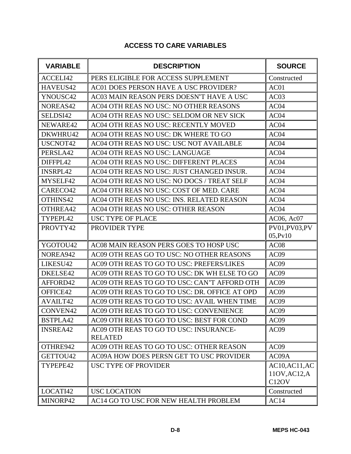## **ACCESS TO CARE VARIABLES**

| <b>VARIABLE</b> | <b>DESCRIPTION</b>                            | <b>SOURCE</b>      |
|-----------------|-----------------------------------------------|--------------------|
| ACCELI42        | PERS ELIGIBLE FOR ACCESS SUPPLEMENT           | Constructed        |
| HAVEUS42        | AC01 DOES PERSON HAVE A USC PROVIDER?         | AC01               |
| YNOUSC42        | AC03 MAIN REASON PERS DOESN'T HAVE A USC      | AC03               |
| NOREAS42        | AC04 OTH REAS NO USC: NO OTHER REASONS        | AC04               |
| SELDSI42        | AC04 OTH REAS NO USC: SELDOM OR NEV SICK      | AC04               |
| NEWARE42        | AC04 OTH REAS NO USC: RECENTLY MOVED          | AC04               |
| DKWHRU42        | AC04 OTH REAS NO USC: DK WHERE TO GO          | AC <sub>04</sub>   |
| USCNOT42        | AC04 OTH REAS NO USC: USC NOT AVAILABLE       | AC04               |
| PERSLA42        | AC04 OTH REAS NO USC: LANGUAGE                | AC04               |
| DIFFPL42        | AC04 OTH REAS NO USC: DIFFERENT PLACES        | AC04               |
| <b>INSRPL42</b> | AC04 OTH REAS NO USC: JUST CHANGED INSUR.     | AC04               |
| MYSELF42        | AC04 OTH REAS NO USC: NO DOCS / TREAT SELF    | AC04               |
| CARECO42        | AC04 OTH REAS NO USC: COST OF MED. CARE       | AC04               |
| OTHINS42        | AC04 OTH REAS NO USC: INS. RELATED REASON     | AC04               |
| OTHREA42        | AC04 OTH REAS NO USC: OTHER REASON            | AC <sub>04</sub>   |
| TYPEPL42        | <b>USC TYPE OF PLACE</b>                      | AC06, Ac07         |
| PROVTY42        | PROVIDER TYPE                                 | PV01,PV03,PV       |
|                 |                                               | 05, Pv10           |
| YGOTOU42        | AC08 MAIN REASON PERS GOES TO HOSP USC        | AC08               |
| NOREA942        | AC09 OTH REAS GO TO USC: NO OTHER REASONS     | AC09               |
| LIKESU42        | AC09 OTH REAS TO GO TO USC: PREFERS/LIKES     | AC09               |
| DKELSE42        | AC09 OTH REAS TO GO TO USC: DK WH ELSE TO GO  | AC09               |
| AFFORD42        | AC09 OTH REAS TO GO TO USC: CAN'T AFFORD OTH  | AC09               |
| OFFICE42        | AC09 OTH REAS TO GO TO USC: DR. OFFICE AT OPD | AC09               |
| <b>AVAILT42</b> | AC09 OTH REAS TO GO TO USC: AVAIL WHEN TIME   | AC09               |
| CONVEN42        | AC09 OTH REAS TO GO TO USC: CONVENIENCE       | AC09               |
| BSTPLA42        | AC09 OTH REAS TO GO TO USC: BEST FOR COND     | AC09               |
| <b>INSREA42</b> | AC09 OTH REAS TO GO TO USC: INSURANCE-        | AC09               |
|                 | <b>RELATED</b>                                |                    |
| OTHRE942        | AC09 OTH REAS TO GO TO USC: OTHER REASON      | AC09               |
| GETTOU42        | AC09A HOW DOES PERSN GET TO USC PROVIDER      | AC09A              |
| TYPEPE42        | USC TYPE OF PROVIDER                          | AC10, AC11, AC     |
|                 |                                               | 110V, AC12, A      |
|                 |                                               | C <sub>12</sub> OV |
| LOCATI42        | <b>USC LOCATION</b>                           | Constructed        |
| MINORP42        | AC14 GO TO USC FOR NEW HEALTH PROBLEM         | AC14               |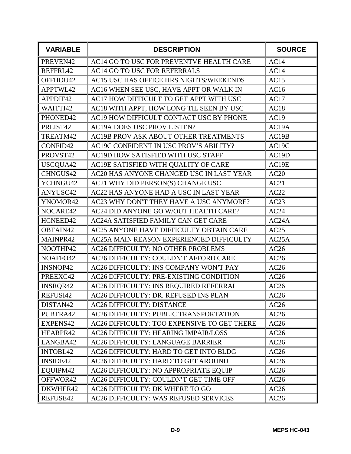| <b>VARIABLE</b> | <b>DESCRIPTION</b>                          | <b>SOURCE</b>      |
|-----------------|---------------------------------------------|--------------------|
| PREVEN42        | AC14 GO TO USC FOR PREVENTVE HEALTH CARE    | AC14               |
| REFFRL42        | AC14 GO TO USC FOR REFERRALS                | AC14               |
| OFFHOU42        | AC15 USC HAS OFFICE HRS NIGHTS/WEEKENDS     | AC15               |
| APPTWL42        | AC16 WHEN SEE USC, HAVE APPT OR WALK IN     | AC16               |
| APPDIF42        | AC17 HOW DIFFICULT TO GET APPT WITH USC     | AC17               |
| WAITTI42        | AC18 WITH APPT, HOW LONG TIL SEEN BY USC    | AC18               |
| PHONED42        | AC19 HOW DIFFICULT CONTACT USC BY PHONE     | AC19               |
| PRLIST42        | AC19A DOES USC PROV LISTEN?                 | AC19A              |
| TREATM42        | AC19B PROV ASK ABOUT OTHER TREATMENTS       | AC19B              |
| CONFID42        | AC19C CONFIDENT IN USC PROV'S ABILITY?      | AC <sub>19</sub> C |
| PROVST42        | AC19D HOW SATISFIED WITH USC STAFF          | AC19D              |
| USCQUA42        | AC19E SATISFIED WITH QUALITY OF CARE        | AC19E              |
| CHNGUS42        | AC20 HAS ANYONE CHANGED USC IN LAST YEAR    | AC20               |
| YCHNGU42        | AC21 WHY DID PERSON(S) CHANGE USC           | AC21               |
| ANYUSC42        | AC22 HAS ANYONE HAD A USC IN LAST YEAR      | AC22               |
| YNOMOR42        | AC23 WHY DON'T THEY HAVE A USC ANYMORE?     | AC23               |
| NOCARE42        | AC24 DID ANYONE GO W/OUT HEALTH CARE?       | AC24               |
| HCNEED42        | AC24A SATISFIED FAMILY CAN GET CARE         | AC24A              |
| OBTAIN42        | AC25 ANYONE HAVE DIFFICULTY OBTAIN CARE     | AC25               |
| MAINPR42        | AC25A MAIN REASON EXPERIENCED DIFFICULTY    | AC <sub>25</sub> A |
| NOOTHP42        | AC26 DIFFICULTY: NO OTHER PROBLEMS          | AC26               |
| NOAFFO42        | AC26 DIFFICULTY: COULDN'T AFFORD CARE       | AC26               |
| INSNOP42        | AC26 DIFFICULTY: INS COMPANY WON'T PAY      | AC26               |
| PREEXC42        | AC26 DIFFICULTY: PRE-EXISTING CONDITION     | AC26               |
| <b>INSRQR42</b> | AC26 DIFFICULTY: INS REQUIRED REFERRAL      | AC26               |
| REFUSI42        | AC26 DIFFICULTY: DR. REFUSED INS PLAN       | AC26               |
| DISTAN42        | <b>AC26 DIFFICULTY: DISTANCE</b>            | AC26               |
| PUBTRA42        | AC26 DIFFICULTY: PUBLIC TRANSPORTATION      | AC26               |
| EXPENS42        | AC26 DIFFICULTY: TOO EXPENSIVE TO GET THERE | AC26               |
| HEARPR42        | AC26 DIFFICULTY: HEARING IMPAIR/LOSS        | AC26               |
| LANGBA42        | AC26 DIFFICULTY: LANGUAGE BARRIER           | AC26               |
| <b>INTOBL42</b> | AC26 DIFFICULTY: HARD TO GET INTO BLDG      | AC26               |
| INSIDE42        | AC26 DIFFICULTY: HARD TO GET AROUND         | AC26               |
| EQUIPM42        | AC26 DIFFICULTY: NO APPROPRIATE EQUIP       | AC26               |
| OFFWOR42        | AC26 DIFFICULTY: COULDN'T GET TIME OFF      | AC26               |
| DKWHER42        | AC26 DIFFICULTY: DK WHERE TO GO             | AC26               |
| REFUSE42        | AC26 DIFFICULTY: WAS REFUSED SERVICES       | AC26               |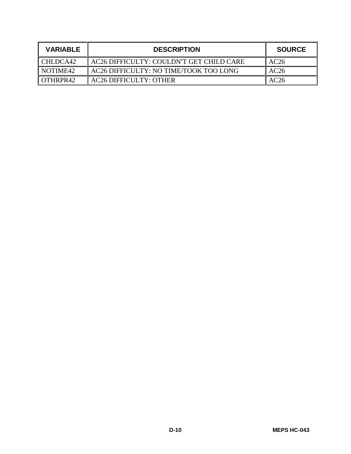| <b>VARIABLE</b> | <b>DESCRIPTION</b>                       | <b>SOURCE</b> |
|-----------------|------------------------------------------|---------------|
| CHLDCA42        | AC26 DIFFICULTY: COULDN'T GET CHILD CARE | AC26          |
| NOTIME42        | AC26 DIFFICULTY: NO TIME/TOOK TOO LONG   | AC26          |
| OTHRPR42        | <b>AC26 DIFFICULTY: OTHER</b>            | AC26          |